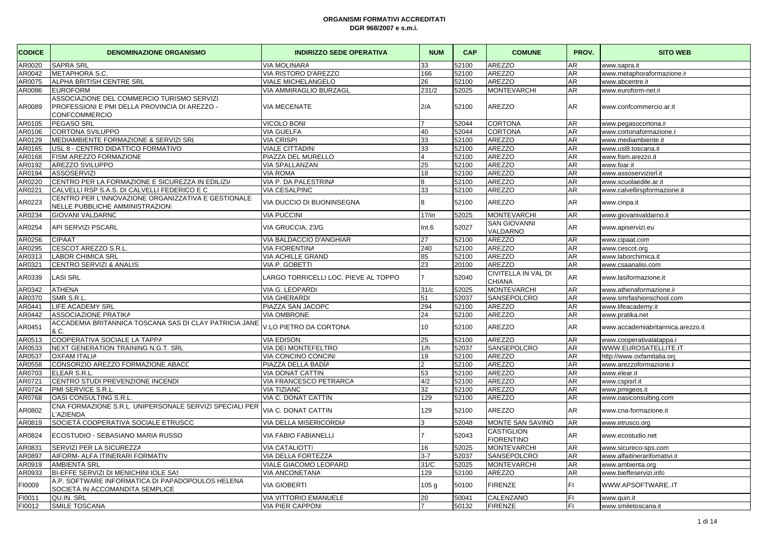| <b>CODICE</b> | <b>DENOMINAZIONE ORGANISMO</b>                                                                                      | <b>INDIRIZZO SEDE OPERATIVA</b>      | <b>NUM</b>       | <b>CAP</b> | <b>COMUNE</b>                               | PROV. | <b>SITO WEB</b>                   |
|---------------|---------------------------------------------------------------------------------------------------------------------|--------------------------------------|------------------|------------|---------------------------------------------|-------|-----------------------------------|
| AR0020        | <b>SAPRA SRL</b>                                                                                                    | <b>VIA MOLINARA</b>                  | 33               | 52100      | <b>AREZZO</b>                               | AR.   | www.sapra.it                      |
| AR0042        | METAPHORA S.C.                                                                                                      | VIA RISTORO D'AREZZO                 | 166              | 52100      | <b>AREZZO</b>                               | AR    | www.metaphoraformazione.it        |
| AR0075        | ALPHA BRITISH CENTRE SRL                                                                                            | <b>VIALE MICHELANGELO</b>            | 26               | 52100      | AREZZO                                      | AR    | www.abcentre.it                   |
| AR0086        | <b>EUROFORM</b>                                                                                                     | VIA AMMIRAGLIO BURZAGL               | 231/2            | 52025      | <b>MONTEVARCHI</b>                          | AR.   | www.euroform-net.it               |
| AR0089        | ASSOCIAZIONE DEL COMMERCIO TURISMO SERVIZI<br>PROFESSIONI E PMI DELLA PROVINCIA DI AREZZO -<br><b>CONFCOMMERCIO</b> | <b>VIA MECENATE</b>                  | 2/A              | 52100      | AREZZO                                      | AR    | www.confcommercio.ar.it           |
| AR0105        | <b>PEGASO SRL</b>                                                                                                   | <b>VICOLO BONI</b>                   |                  | 52044      | <b>CORTONA</b>                              | AR    | www.pegasocortona.it              |
| AR0106        | CORTONA SVILUPPO                                                                                                    | VIA GUELFA                           | 40               | 52044      | <b>CORTONA</b>                              | AR    | www.cortonaformazione.it          |
| AR0129        | MEDIAMBIENTE FORMAZIONE & SERVIZI SRL                                                                               | <b>VIA CRISPI</b>                    | 33               | 52100      | <b>AREZZO</b>                               | AR    | www.mediambiente.it               |
| AR0165        | USL 8 - CENTRO DIDATTICO FORMATIVO                                                                                  | <b>VIALE CITTADINI</b>               | 33               | 52100      | <b>AREZZO</b>                               | AR    | www.usl8.toscana.it               |
| AR0168        | FISM AREZZO FORMAZIONE                                                                                              | PIAZZA DEL MURELLO                   | 4                | 52100      | <b>AREZZO</b>                               | AR    | www.fism.arezzo.it                |
| AR0192        | AREZZO SVILUPPO                                                                                                     | <b>VIA SPALLANZAN</b>                | 25               | 52100      | <b>AREZZO</b>                               | AR    | www.foar.it                       |
| AR0194        | <b>ASSOSERVIZI</b>                                                                                                  | <b>VIA ROMA</b>                      | 18               | 52100      | <b>AREZZO</b>                               | AR    | www.assoservizisrl.it             |
| AR0220        | CENTRO PER LA FORMAZIONE E SICUREZZA IN EDILIZI/                                                                    | VIA P. DA PALESTRINA                 | 8                | 52100      | AREZZO                                      | AR    | www.scuolaedile.ar.it             |
| AR0221        | CALVELLI RSP S.A.S. DI CALVELLI FEDERICO E C                                                                        | <b>VIA CESALPINO</b>                 | 33               | 52100      | <b>AREZZO</b>                               | AR    | www.calvellirspformazione.it      |
| AR0223        | CENTRO PER L'INNOVAZIONE ORGANIZZATIVA E GESTIONALE<br>NELLE PUBBLICHE AMMINISTRAZIONI                              | VIA DUCCIO DI BUONINSEGNA            | 8                | 52100      | AREZZO                                      | AR    | www.cinpa.it                      |
| AR0234        | <b>GIOVANI VALDARNC</b>                                                                                             | <b>VIA PUCCINI</b>                   | 17/in            | 52025      | <b>MONTEVARCHI</b>                          | AR    | www.giovanivaldarno.it            |
| AR0254        | <b>API SERVIZI PSCARL</b>                                                                                           | VIA GRUCCIA, 23/G                    | Int.6            | 52027      | <b>SAN GIOVANNI</b><br>VALDARNO             | AR.   | www.apiservizi.eu                 |
| AR0256        | <b>CIPAAT</b>                                                                                                       | VIA BALDACCIO D'ANGHIAR              | 27               | 52100      | <b>AREZZO</b>                               | AR.   | www.cipaat.com                    |
| AR0295        | CESCOT AREZZO S.R.L                                                                                                 | <b>VIA FIORENTINA</b>                | 240              | 52100      | <b>AREZZO</b>                               | AR.   | www.cescot.org                    |
| AR0313        | LABOR CHIMICA SRL                                                                                                   | <b>VIA ACHILLE GRANDI</b>            | 85               | 52100      | AREZZO                                      | AR.   | www.laborchimica.it               |
| AR0321        | CENTRO SERVIZI & ANALIS                                                                                             | VIA P. GOBETTI                       | 23               | 20100      | <b>AREZZO</b>                               | AR.   | www.csaanalisi.com                |
| AR0339        | <b>LASI SRL</b>                                                                                                     | LARGO TORRICELLI LOC. PIEVE AL TOPPO |                  | 52040      | <b>CIVITELLA IN VAL DI</b><br><b>CHIANA</b> | AR    | www.lasiformazione.it             |
| AR0342        | <b>ATHENA</b>                                                                                                       | VIA G. LEOPARDI                      | 31/c             | 52025      | <b>MONTEVARCHI</b>                          | AR    | www.athenaformazione.it           |
| AR0370        | SMR S.R.L                                                                                                           | <b>VIA GHERARDI</b>                  | 51               | 52037      | SANSEPOLCRO                                 | AR.   | www.smrfashionschool.com          |
| AR0441        | LIFE ACADEMY SRL                                                                                                    | PIAZZA SAN JACOPC                    | 294              | 52100      | AREZZO                                      | AR    | www.lifeacademy.it                |
| AR0442        | ASSOCIAZIONE PRATIKA                                                                                                | <b>VIA OMBRONE</b>                   | 24               | 52100      | <b>AREZZO</b>                               | AR.   | www.pratika.net                   |
| AR0451        | ACCADEMIA BRITANNICA TOSCANA SAS DI CLAY PATRICIA JANE<br>& C.                                                      | V.LO PIETRO DA CORTONA               | 10 <sup>1</sup>  | 52100      | AREZZO                                      | AR    | www.accademiabritannica.arezzo.it |
| AR0513        | COOPERATIVA SOCIALE LA TAPPA                                                                                        | <b>VIA EDISON</b>                    | 25               | 52100      | AREZZO                                      | AR    | www.cooperativalatappa.it         |
| AR0533        | NEXT GENERATION TRAINING N.G.T. SRL                                                                                 | VIA DEI MONTEFELTRO                  | 1/h              | 52037      | SANSEPOLCRO                                 | AR    | WWW.EUROSATELLITE.IT              |
| AR0537        | <b>OXFAM ITALIA</b>                                                                                                 | <b>VIA CONCINO CONCINI</b>           | 19               | 52100      | AREZZO                                      | AR    | http://www.oxfamitalia.orc        |
| AR0558        | CONSORZIO AREZZO FORMAZIONE ABACC                                                                                   | PIAZZA DELLA BADÌA                   | $\mathfrak{D}$   | 52100      | <b>AREZZO</b>                               | AR.   | www.arezzoformazione.i            |
| AR0703        | ELEAR S.R.L                                                                                                         | <b>VIA DONAT CATTIN</b>              | 53               | 52100      | <b>AREZZO</b>                               | AR    | www.elear.it                      |
| AR0721        | CENTRO STUDI PREVENZIONE INCENDI                                                                                    | VIA FRANCESCO PETRARCA               | 4/2              | 52100      | <b>AREZZO</b>                               | AR    | www.cspisrl.it                    |
| AR0724        | PMI SERVICE S.R.L                                                                                                   | <b>VIA TIZIANC</b>                   | 32               | 52100      | <b>AREZZO</b>                               | AR.   | www.pmigeos.it                    |
| AR0768        | OASI CONSULTING S.R.L.                                                                                              | VIA C. DONAT CATTIN                  | 129              | 52100      | AREZZO                                      | AR    | www.oasiconsulting.com            |
| AR0802        | CNA FORMAZIONE S.R.L. UNIPERSONALE SERVIZI SPECIALI PER<br>L'AZIENDA                                                | VIA C. DONAT CATTIN                  | 129              | 52100      | AREZZO                                      | AR.   | www.cna-formazione.it             |
| AR0819        | SOCIETÀ COOPERATIVA SOCIALE ETRUSCO                                                                                 | VIA DELLA MISERICORDIA               | 3                | 52048      | MONTE SAN SAVINO                            | AR    | www.etrusco.org                   |
| AR0824        | ECOSTUDIO - SEBASIANO MARIA RUSSO                                                                                   | <b>VIA FABIO FABIANELLI</b>          |                  | 52043      | <b>CASTIGLION</b><br><b>FIORENTINO</b>      | AR.   | www.ecostudio.net                 |
| AR0831        | SERVIZI PER LA SICUREZZA                                                                                            | <b>VIA CATALIOTTI</b>                | 16               | 52025      | <b>MONTEVARCHI</b>                          | AR    | www.sicureco-sps.com              |
| AR0897        | AIFORM- ALFA ITINERARI FORMATIV                                                                                     | VIA DELLA FORTEZZA                   | $3 - 7$          | 52037      | SANSEPOLCRO                                 | AR    | www.alfaitinerarifomativi.it      |
| AR0919        | <b>AMBIENTA SRL</b>                                                                                                 | VIALE GIACOMO LEOPARD                | 31/C             | 52025      | <b>MONTEVARCHI</b>                          | AR    | www.ambienta.org                  |
| AR0933        | BI-EFFE SERVIZI DI MENICHINI IOLE SAS                                                                               | <b>VIA ANCONETANA</b>                | 129              | 52100      | AREZZO                                      | AR    | www.bieffeservizi.info            |
| FI0009        | A.P. SOFTWARE INFORMATICA DI PAPADOPOULOS HELENA<br>SOCIETÀ IN ACCOMANDITA SEMPLICE                                 | <b>VIA GIOBERTI</b>                  | 105 <sub>g</sub> | 50100      | <b>FIRENZE</b>                              | FI    | WWW.APSOFTWAREIT                  |
| FI0011        | QU.IN. SRL                                                                                                          | <b>VIA VITTORIO EMANUELE</b>         | 20               | 50041      | CALENZANO                                   | FI.   | www.quin.it                       |
| FI0012        | SMILE TOSCANA                                                                                                       | <b>VIA PIER CAPPON</b>               | $\overline{7}$   | 50132      | FIRENZE                                     | FI.   | www.smiletoscana.it               |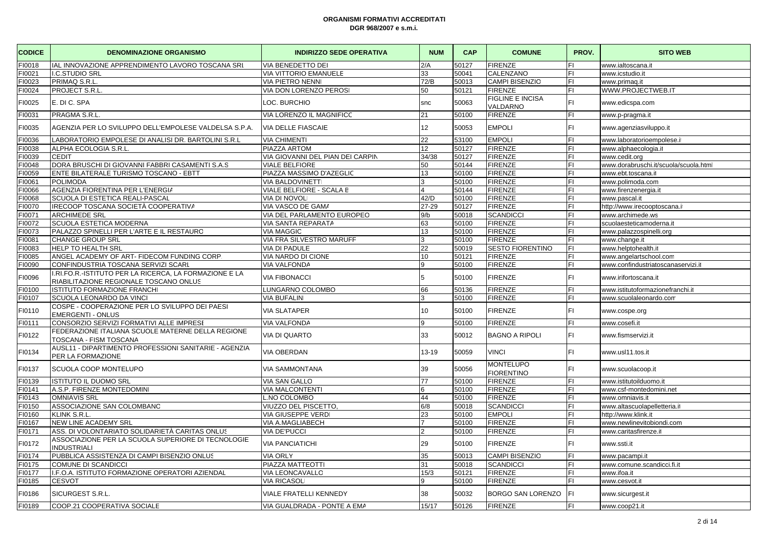| <b>CODICE</b> | <b>DENOMINAZIONE ORGANISMO</b>                                                                   | <b>INDIRIZZO SEDE OPERATIVA</b>  | <b>NUM</b>      | <b>CAP</b> | <b>COMUNE</b>                         | PROV. | <b>SITO WEB</b>                       |
|---------------|--------------------------------------------------------------------------------------------------|----------------------------------|-----------------|------------|---------------------------------------|-------|---------------------------------------|
| FI0018        | IAL INNOVAZIONE APPRENDIMENTO LAVORO TOSCANA SRI                                                 | VIA BENEDETTO DEI                | 2/A             | 50127      | <b>FIRENZE</b>                        | FI    | www.ialtoscana.it                     |
| FI0021        | <b>I.C.STUDIO SRL</b>                                                                            | <b>VIA VITTORIO EMANUELE</b>     | 33              | 50041      | CALENZANO                             | FI    | www.icstudio.it                       |
| FI0023        | PRIMAQ S.R.L.                                                                                    | <b>VIA PIETRO NENNI</b>          | 72/B            | 50013      | <b>CAMPI BISENZIO</b>                 | FI    | www.primaq.it                         |
| FI0024        | PROJECT S.R.L                                                                                    | VIA DON LORENZO PEROSI           | 50              | 50121      | <b>FIRENZE</b>                        | FI    | WWW.PROJECTWEB.IT                     |
| FI0025        | E. DI C. SPA                                                                                     | LOC. BURCHIO                     | snc             | 50063      | <b>FIGLINE E INCISA</b><br>VALDARNO   | FI    | www.edicspa.com                       |
| FI0031        | PRAGMA S.R.L                                                                                     | VIA LORENZO IL MAGNIFICC         | 21              | 50100      | <b>FIRENZE</b>                        | FI.   | www.p-pragma.it                       |
| FI0035        | AGENZIA PER LO SVILUPPO DELL'EMPOLESE VALDELSA S.P.A.                                            | VIA DELLE FIASCAIE               | 12              | 50053      | <b>EMPOLI</b>                         | FI    | www.agenziasviluppo.it                |
| FI0036        | LABORATORIO EMPOLESE DI ANALISI DR. BARTOLINI S.R.L                                              | <b>VIA CHIMENTI</b>              | 22              | 53100      | <b>EMPOLI</b>                         | FI    | www.laboratorioempolese.it            |
| FI0038        | ALPHA ECOLOGIA S.R.L.                                                                            | <b>PIAZZA ARTOM</b>              | 12 <sup>2</sup> | 50127      | <b>FIRENZE</b>                        | FI    | www.alphaecologia.it                  |
| FI0039        | <b>CEDIT</b>                                                                                     | VIA GIOVANNI DEL PIAN DEI CARPIN | 34/38           | 50127      | <b>FIRENZE</b>                        | FI    | www.cedit.org                         |
| FI0048        | DORA BRUSCHI DI GIOVANNI FABBRI CASAMENTI S.A.S                                                  | <b>VIALE BELFIORE</b>            | 50              | 50144      | <b>FIRENZE</b>                        | FI    | www.dorabruschi.it/scuola/scuola.html |
| FI0059        | ENTE BILATERALE TURISMO TOSCANO - EBTT                                                           | PIAZZA MASSIMO D'AZEGLIC         | 13              | 50100      | <b>FIRENZE</b>                        | FI    | www.ebt.toscana.it                    |
| FI0061        | <b>POLIMODA</b>                                                                                  | <b>VIA BALDOVINETTI</b>          | 3               | 50100      | <b>FIRENZE</b>                        | FI    | www.polimoda.com                      |
| FI0066        | AGENZIA FIORENTINA PER L'ENERGIA                                                                 | VIALE BELFIORE - SCALA E         | 4               | 50144      | <b>FIRENZE</b>                        | FI    | www.firenzenergia.it                  |
| FI0068        | SCUOLA DI ESTETICA REALI-PASCAL                                                                  | <b>VIA DI NOVOLI</b>             | 42/D            | 50100      | <b>FIRENZE</b>                        | FI    | www.pascal.it                         |
| FI0070        | IRECOOP TOSCANA SOCIETÀ COOPERATIVA                                                              | VIA VASCO DE GAMA                | 27-29           | 50127      | <b>FIRENZE</b>                        | FI    | http://www.irecooptoscana.it          |
| FI0071        | <b>ARCHIMEDE SRL</b>                                                                             | VIA DEL PARLAMENTO EUROPEO       | 9/b             | 50018      | <b>SCANDICCI</b>                      | FI    | www.archimede.ws                      |
| FI0072        | SCUOLA ESTETICA MODERNA                                                                          | <b>VIA SANTA REPARATA</b>        | 63              | 50100      | <b>FIRENZE</b>                        | FI    | scuolaesteticamoderna.it              |
| 10073         | PALAZZO SPINELLI PER L'ARTE E IL RESTAURC                                                        | <b>VIA MAGGIC</b>                | 13              | 50100      | <b>FIRENZE</b>                        | FI    | www.palazzospinelli.org               |
| FI0081        | <b>CHANGE GROUP SRL</b>                                                                          | VIA FRA SILVESTRO MARUFF         | 3               | 50100      | <b>FIRENZE</b>                        | FI    | www.change.it                         |
| FI0083        | HELP TO HEALTH SRL                                                                               | <b>VIA DI PADULE</b>             | 22              | 50019      | <b>SESTO FIORENTINO</b>               | FI    | www.helptohealth.it                   |
| FI0085        | ANGEL ACADEMY OF ART- FIDECOM FUNDING CORP                                                       | VIA NARDO DI CIONE               | 10              | 50121      | <b>FIRENZE</b>                        | FI    | www.angelartschool.com                |
| FI0090        | CONFINDUSTRIA TOSCANA SERVIZI SCARL                                                              | <b>VIA VALFONDA</b>              | 9               | 50100      | <b>FIRENZE</b>                        | FI    | www.confindustriatoscanaservizi.it    |
| FI0096        | I.RI.FO.R.-ISTITUTO PER LA RICERCA, LA FORMAZIONE E LA<br>RIABILITAZIONE REGIONALE TOSCANO ONLUS | <b>VIA FIBONACCI</b>             | 5               | 50100      | <b>FIRENZE</b>                        | FI    | www.irifortoscana.it                  |
| FI0100        | ISTITUTO FORMAZIONE FRANCHI                                                                      | LUNGARNO COLOMBO                 | 66              | 50136      | <b>FIRENZE</b>                        | FI    | www.istitutoformazionefranchi.it      |
| FI0107        | SCUOLA LEONARDO DA VINCI                                                                         | <b>VIA BUFALIN</b>               | З               | 50100      | <b>FIRENZE</b>                        | FI    | www.scuolaleonardo.com                |
| FI0110        | COSPE - COOPERAZIONE PER LO SVILUPPO DEI PAESI<br><b>EMERGENTI - ONLUS</b>                       | <b>VIA SLATAPER</b>              | 10              | 50100      | <b>FIRENZE</b>                        | FI    | www.cospe.org                         |
| FI0111        | CONSORZIO SERVIZI FORMATIVI ALLE IMPRESE                                                         | <b>VIA VALFONDA</b>              | 9               | 50100      | <b>FIRENZE</b>                        | FI    | www.cosefi.it                         |
| FI0122        | FEDERAZIONE ITALIANA SCUOLE MATERNE DELLA REGIONE<br>TOSCANA - FISM TOSCANA                      | <b>VIA DI QUARTO</b>             | 33              | 50012      | <b>BAGNO A RIPOLI</b>                 | FI    | www.fismservizi.it                    |
| FI0134        | AUSL11 - DIPARTIMENTO PROFESSIONI SANITARIE - AGENZIA<br>PER LA FORMAZIONE                       | VIA OBERDAN                      | $13 - 19$       | 50059      | <b>VINCI</b>                          | FI    | www.usl11.tos.it                      |
| FI0137        | SCUOLA COOP MONTELUPO                                                                            | <b>VIA SAMMONTANA</b>            | 39              | 50056      | <b>MONTELUPO</b><br><b>FIORENTINO</b> | FI    | www.scuolacoop.it                     |
| FI0139        | <b>ISTITUTO IL DUOMO SRL</b>                                                                     | <b>VIA SAN GALLO</b>             | 77              | 50100      | <b>FIRENZE</b>                        | FI    | www.istitutoilduomo.it                |
| FI0141        | A.S.P. FIRENZE MONTEDOMINI                                                                       | <b>VIA MALCONTENTI</b>           | 6               | 50100      | <b>FIRENZE</b>                        | FI    | www.csf-montedomini.net               |
| FI0143        | <b>OMNIAVIS SRL</b>                                                                              | L.NO COLOMBO                     | 44              | 50100      | <b>FIRENZE</b>                        | FI    | www.omniavis.it                       |
| FI0150        | ASSOCIAZIONE SAN COLOMBANC                                                                       | VIUZZO DEL PISCETTO,             | 6/8             | 50018      | <b>SCANDICCI</b>                      | FI    | www.altascuolapelletteria.it          |
| FI0160        | <b>KLINK S.R.L</b>                                                                               | VIA GIUSEPPE VERD                | 23              | 50100      | <b>EMPOLI</b>                         | FI    | http://www.klink.it                   |
| FI0167        | <b>NEW LINE ACADEMY SRL</b>                                                                      | VIA A.MAGLIABECH                 | $\overline{7}$  | 50100      | <b>FIRENZE</b>                        | FI    | www.newlinevitobiondi.com             |
| FI0171        | ASS. DI VOLONTARIATO SOLIDARIETÀ CARITAS ONLUS                                                   | <b>VIA DE'PUCCI</b>              | $\overline{2}$  | 50100      | <b>FIRENZE</b>                        | FI    | www.caritasfirenze.it                 |
| FI0172        | ASSOCIAZIONE PER LA SCUOLA SUPERIORE DI TECNOLOGIE<br><b>INDUSTRIALI</b>                         | <b>VIA PANCIATICHI</b>           | 29              | 50100      | <b>FIRENZE</b>                        | FI    | www.ssti.it                           |
| FI0174        | PUBBLICA ASSISTENZA DI CAMPI BISENZIO ONLUS                                                      | <b>VIA ORLY</b>                  | 35              | 50013      | CAMPI BISENZIO                        | FI    | www.pacampi.it                        |
| FI0175        | <b>COMUNE DI SCANDICCI</b>                                                                       | PIAZZA MATTEOTTI                 | 31              | 50018      | <b>SCANDICCI</b>                      | FI    | www.comune.scandicci.fi.it            |
| FI0177        | I.F.O.A. ISTITUTO FORMAZIONE OPERATORI AZIENDAL                                                  | <b>VIA LEONCAVALLO</b>           | 15/3            | 50121      | <b>FIRENZE</b>                        | FI    | www.ifoa.it                           |
| FI0185        | <b>CESVOT</b>                                                                                    | <b>VIA RICASOLI</b>              | 9               | 50100      | <b>FIRENZE</b>                        | FI    | www.cesvot.it                         |
| FI0186        | SICURGEST S.R.L.                                                                                 | VIALE FRATELLI KENNEDY           | 38              | 50032      | <b>BORGO SAN LORENZO</b>              | FI    | www.sicurgest.it                      |
| FI0189        | COOP.21 COOPERATIVA SOCIALE                                                                      | VIA GUALDRADA - PONTE A EMA      | 15/17           | 50126      | <b>FIRENZE</b>                        | FI    | www.coop21.it                         |
|               |                                                                                                  |                                  |                 |            |                                       |       |                                       |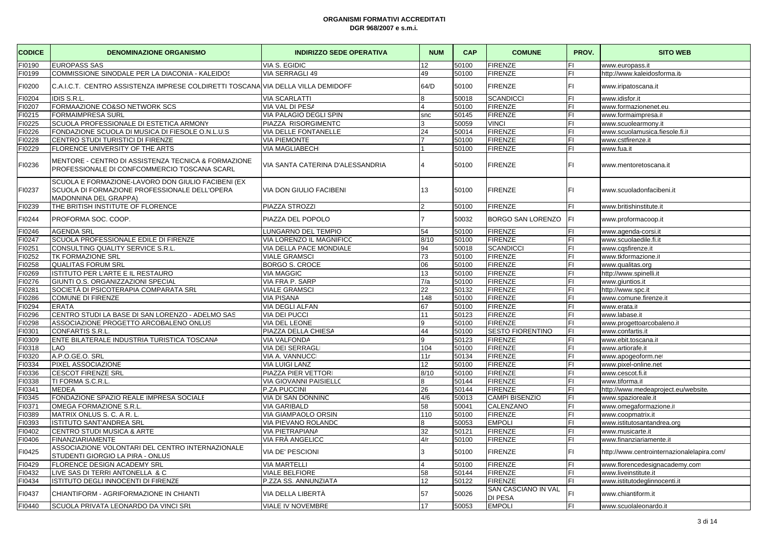| <b>CODICE</b> | <b>DENOMINAZIONE ORGANISMO</b>                                                                                               | <b>INDIRIZZO SEDE OPERATIVA</b>  | <b>NUM</b>            | <b>CAP</b> | <b>COMUNE</b>                  | PROV. | <b>SITO WEB</b>                            |
|---------------|------------------------------------------------------------------------------------------------------------------------------|----------------------------------|-----------------------|------------|--------------------------------|-------|--------------------------------------------|
| FI0190        | <b>EUROPASS SAS</b>                                                                                                          | VIA S. EGIDIC                    | 12                    | 50100      | <b>FIRENZE</b>                 | FI.   | www.europass.it                            |
| FI0199        | COMMISSIONE SINODALE PER LA DIACONIA - KALEIDOS                                                                              | VIA SERRAGLI 49                  | 49                    | 50100      | <b>FIRENZE</b>                 | FI    | http://www.kaleidosforma.it                |
| FI0200        | C.A.I.C.T. CENTRO ASSISTENZA IMPRESE COLDIRETTI TOSCANA VIA DELLA VILLA DEMIDOFF                                             |                                  | 64/D                  | 50100      | <b>FIRENZE</b>                 | FI.   | www.iripatoscana.it                        |
| FI0204        | <b>IDIS S.R.L</b>                                                                                                            | <b>VIA SCARLATTI</b>             | 8                     | 50018      | <b>SCANDICCI</b>               | FI    | www.idisfor.it                             |
| FI0207        | FORMAAZIONE CO&SO NETWORK SCS                                                                                                | VIA VAL DI PESA                  |                       | 50100      | <b>FIRENZE</b>                 | FI.   | www.formazionenet.eu                       |
| FI0215        | <b>FORMAIMPRESA SURL</b>                                                                                                     | VIA PALAGIO DEGLI SPIN           | snc                   | 50145      | <b>FIRENZE</b>                 | FI    | www.formaimpresa.it                        |
| FI0225        | SCUOLA PROFESSIONALE DI ESTETICA ARMONY                                                                                      | PIAZZA RISORGIMENTO              |                       | 50059      | <b>VINCI</b>                   | FI    | www.scuolearmony.it                        |
| FI0226        | FONDAZIONE SCUOLA DI MUSICA DI FIESOLE O.N.L.U.S                                                                             | VIA DELLE FONTANELLE             | 24                    | 50014      | <b>FIRENZE</b>                 | FI    | www.scuolamusica.fiesole.fi.it             |
| FI0228        | CENTRO STUDI TURISTICI DI FIRENZE                                                                                            | <b>VIA PIEMONTE</b>              |                       | 50100      | <b>FIRENZE</b>                 | FI.   | www.cstfirenze.it                          |
| FI0229        | FLORENCE UNIVERSITY OF THE ARTS                                                                                              | <b>VIA MAGLIABECH</b>            |                       | 50100      | <b>FIRENZE</b>                 | FI.   | www.fua.it                                 |
| FI0236        | MENTORE - CENTRO DI ASSISTENZA TECNICA & FORMAZIONE<br>PROFESSIONALE DI CONFCOMMERCIO TOSCANA SCARL                          | VIA SANTA CATERINA D'ALESSANDRIA |                       | 50100      | <b>FIRENZE</b>                 | FL    | www.mentoretoscana.it                      |
| FI0237        | SCUOLA E FORMAZIONE-LAVORO DON GIULIO FACIBENI (EX<br>SCUOLA DI FORMAZIONE PROFESSIONALE DELL'OPERA<br>MADONNINA DEL GRAPPA) | <b>VIA DON GIULIO FACIBENI</b>   | 13                    | 50100      | <b>FIRENZE</b>                 | FI.   | www.scuoladonfacibeni.it                   |
| FI0239        | THE BRITISH INSTITUTE OF FLORENCE                                                                                            | PIAZZA STROZZI                   |                       | 50100      | <b>FIRENZE</b>                 | FI    | www.britishinstitute.it                    |
| FI0244        | PROFORMA SOC. COOP.                                                                                                          | PIAZZA DEL POPOLO                |                       | 50032      | BORGO SAN LORENZO              | FI.   | www.proformacoop.it                        |
| FI0246        | <b>AGENDA SRL</b>                                                                                                            | LUNGARNO DEL TEMPIO              | 54                    | 50100      | <b>FIRENZE</b>                 | FI.   | www.agenda-corsi.it                        |
| FI0247        | SCUOLA PROFESSIONALE EDILE DI FIRENZE                                                                                        | VIA LORENZO IL MAGNIFICC         | 8/10                  | 50100      | <b>FIRENZE</b>                 | FL    | www.scuolaedile.fi.it                      |
| FI0251        | CONSULTING QUALITY SERVICE S.R.L                                                                                             | VIA DELLA PACE MONDIALE          | 94                    | 50018      | <b>SCANDICCI</b>               | FL    | www.cqsfirenze.it                          |
| FI0252        | TK FORMAZIONE SRL                                                                                                            | <b>VIALE GRAMSCI</b>             | $\overline{73}$       | 50100      | <b>FIRENZE</b>                 | FI.   | www.tkformazione.it                        |
| FI0258        | <b>QUALITAS FORUM SRL</b>                                                                                                    | <b>BORGO S. CROCE</b>            | 06                    | 50100      | <b>FIRENZE</b>                 | FI    | www.qualitas.org                           |
| FI0269        | ISTITUTO PER L'ARTE E IL RESTAURO                                                                                            | <b>VIA MAGGIC</b>                | 13                    | 50100      | <b>FIRENZE</b>                 | FL    | http://www.spinelli.it                     |
| FI0276        | GIUNTI O.S. ORGANIZZAZIONI SPECIAL                                                                                           | VIA FRA P. SARP                  | 7/a                   | 50100      | <b>FIRENZE</b>                 | FI.   | www.giuntios.it                            |
| FI0281        | SOCIETÀ DI PSICOTERAPIA COMPARATA SRL                                                                                        | <b>VIALE GRAMSCI</b>             | 22                    | 50132      | <b>FIRENZE</b>                 | FI    | http://www.spc.it                          |
| FI0286        | <b>COMUNE DI FIRENZE</b>                                                                                                     | <b>VIA PISANA</b>                | 148                   | 50100      | <b>FIRENZE</b>                 | FI    | www.comune.firenze.it                      |
| FI0294        | <b>ERATA</b>                                                                                                                 | VIA DEGLI ALFAN                  | 67                    | 50100      | <b>FIRENZE</b>                 | FI    | www.erata.it                               |
| FI0296        | CENTRO STUDI LA BASE DI SAN LORENZO - ADELMO SAS                                                                             | <b>VIA DEI PUCCI</b>             | 11                    | 50123      | <b>FIRENZE</b>                 | FI.   | www.labase.it                              |
| FI0298        | ASSOCIAZIONE PROGETTO ARCOBALENO ONLUS                                                                                       | VIA DEL LEONE                    | 9                     | 50100      | <b>FIRENZE</b>                 | FI    | www.progettoarcobaleno.it                  |
| FI0301        | CONFARTIS S.R.L.                                                                                                             | PIAZZA DELLA CHIESA              | 44                    | 50100      | <b>SESTO FIORENTINO</b>        | FI    | www.confartis.it                           |
| FI0309        | ENTE BILATERALE INDUSTRIA TURISTICA TOSCANA                                                                                  | VIA VALFONDA                     | $\mathbf{Q}$          | 50123      | <b>FIRENZE</b>                 | FL.   | www.ebit.toscana.it                        |
| FI0318        | LAO                                                                                                                          | VIA DEI SERRAGL                  | 104                   | 50100      | <b>FIRENZE</b>                 | FL.   | www.artiorafe.it                           |
| FI0320        | A.P.O.GE.O. SRL                                                                                                              | VIA A. VANNUCC                   | 11r                   | 50134      | <b>FIRENZE</b>                 | FI.   | www.apogeoform.net                         |
| FI0334        | PIXEL ASSOCIAZIONE                                                                                                           | VIA LUIGI LANZ                   | 12                    | 50100      | <b>FIRENZE</b>                 | FL.   | www.pixel-online.net                       |
| FI0336        | <b>CESCOT FIRENZE SRL</b>                                                                                                    | PIAZZA PIER VETTORI              | 8/10                  | 50100      | <b>FIRENZE</b>                 | FL.   | www.cescot.fi.it                           |
| FI0338        | TI FORMA S.C.R.L                                                                                                             | VIA GIOVANNI PAISIELLO           | 8                     | 50144      | <b>FIRENZE</b>                 | FI.   | www.tiforma.it                             |
| FI0341        | <b>MEDEA</b>                                                                                                                 | P.ZA PUCCINI                     | 26                    | 50144      | <b>FIRENZE</b>                 | FI    | http://www.medeaproject.eu/website.        |
| FI0345        | FONDAZIONE SPAZIO REALE IMPRESA SOCIALE                                                                                      | VIA DI SAN DONNINC               | 4/6                   | 50013      | CAMPI BISENZIO                 | FI    | www.spazioreale.it                         |
| FI0371        | OMEGA FORMAZIONE S.R.L.                                                                                                      | <b>VIA GARIBALD</b>              | 58                    | 50041      | CALENZANO                      | FI.   | www.omegaformazione.it                     |
| FI0389        | MATRIX ONLUS S. C. A R. L.                                                                                                   | VIA GIAMPAOLO ORSIN              | 110                   | 50100      | <b>FIRENZE</b>                 | FI    | www.coopmatrix.it                          |
| FI0393        | ISTITUTO SANT'ANDREA SRL                                                                                                     | VIA PIEVANO ROLANDC              | 8                     | 50053      | <b>EMPOLI</b>                  | FI    | www.istitutosantandrea.org                 |
| FI0402        | CENTRO STUDI MUSICA & ARTE                                                                                                   | VIA PIETRAPIANA                  | 32                    | 50121      | FIRENZE                        | FI    | www.musicarte.it                           |
| FI0406        | <b>FINANZIARIAMENTE</b>                                                                                                      | VIA FRÀ ANGELICC                 | 4/r                   | 50100      | <b>FIRENZE</b>                 | FI.   | www.finanziariamente.it                    |
| FI0425        | ASSOCIAZIONE VOLONTARI DEL CENTRO INTERNAZIONALE<br>STUDENTI GIORGIO LA PIRA - ONLUS                                         | VIA DE' PESCIONI                 |                       | 50100      | <b>FIRENZE</b>                 | FI.   | http://www.centrointernazionalelapira.com/ |
| FI0429        | FLORENCE DESIGN ACADEMY SRL                                                                                                  | <b>VIA MARTELLI</b>              | $\boldsymbol{\Delta}$ | 50100      | <b>FIRENZE</b>                 | FI    | www.florencedesignacademy.com              |
| FI0432        | LIVE SAS DI TERRI ANTONELLA & C.                                                                                             | <b>VIALE BELFIORE</b>            | 58                    | 50144      | <b>FIRENZE</b>                 | FI    | www.liveinstitute.it                       |
| FI0434        | ISTITUTO DEGLI INNOCENTI DI FIRENZE                                                                                          | P.ZZA SS. ANNUNZIATA             | 12                    | 50122      | FIRENZE                        | FI    | www.istitutodeglinnocenti.it               |
| FI0437        | CHIANTIFORM - AGRIFORMAZIONE IN CHIANTI                                                                                      | VIA DELLA LIBERTÀ                | 57                    | 50026      | SAN CASCIANO IN VAL<br>DI PESA | FI    | www.chiantiform.it                         |
| FI0440        | SCUOLA PRIVATA LEONARDO DA VINCI SRL                                                                                         | VIALE IV NOVEMBRE                | 17                    | 50053      | <b>EMPOLI</b>                  | FI    | www.scuolaleonardo.it                      |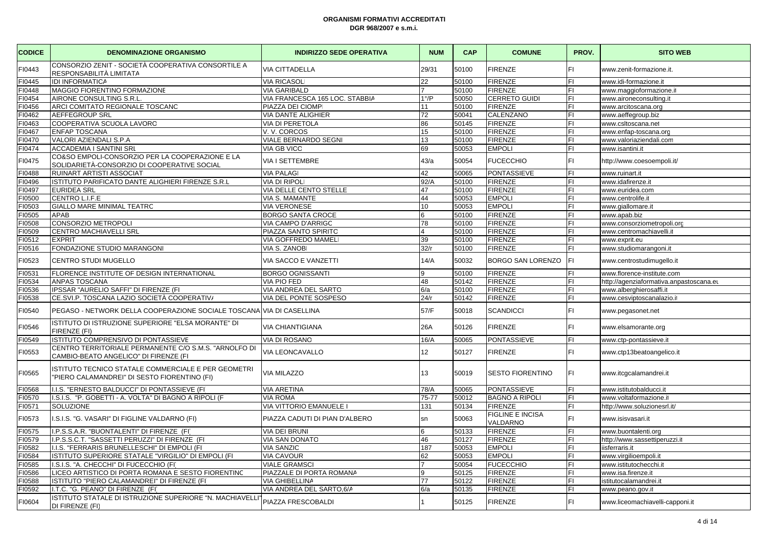| <b>CODICE</b> | <b>DENOMINAZIONE ORGANISMO</b>                                                                     | <b>INDIRIZZO SEDE OPERATIVA</b> | <b>NUM</b>       | <b>CAP</b> | <b>COMUNE</b>                | PROV. | <b>SITO WEB</b>                         |
|---------------|----------------------------------------------------------------------------------------------------|---------------------------------|------------------|------------|------------------------------|-------|-----------------------------------------|
| FI0443        | CONSORZIO ZENIT - SOCIETÀ COOPERATIVA CONSORTILE A<br>RESPONSABILITÀ LIMITATA                      | <b>VIA CITTADELLA</b>           | 29/31            | 50100      | FIRENZE                      | FI    | www.zenit-formazione.it.                |
| FI0445        | <b>IDI INFORMATICA</b>                                                                             | <b>VIA RICASOLI</b>             | 22               | 50100      | <b>FIRENZE</b>               | FI    | www.idi-formazione.it                   |
| FI0448        | MAGGIO FIORENTINO FORMAZIONE                                                                       | <b>VIA GARIBALD</b>             | $\overline{7}$   | 50100      | <b>FIRENZE</b>               | FI    | www.maggioformazione.it                 |
| FI0454        | AIRONE CONSULTING S.R.L.                                                                           | VIA FRANCESCA 165 LOC. STABBIA  | $1^{\circ}/P$    | 50050      | CERRETO GUIDI                | FI    | www.aironeconsulting.it                 |
| FI0456        | ARCI COMITATO REGIONALE TOSCANC                                                                    | PIAZZA DEI CIOMP                | 11               | 50100      | <b>FIRENZE</b>               | FI    | www.arcitoscana.org                     |
| FI0462        | <b>AEFFEGROUP SRL</b>                                                                              | <b>VIA DANTE ALIGHIER</b>       | 72               | 50041      | CALENZANO                    | FI    | www.aeffegroup.biz                      |
| FI0463        | COOPERATIVA SCUOLA LAVORC                                                                          | <b>VIA DI PERETOLA</b>          | 86               | 50145      | <b>FIRENZE</b>               | FI.   | www.csltoscana.net                      |
| FI0467        | <b>ENFAP TOSCANA</b>                                                                               | V.V. CORCOS                     | 15               | 50100      | <b>FIRENZE</b>               | FI    | www.enfap-toscana.org                   |
| FI0470        | VALORI AZIENDALI S.P.A                                                                             | <b>VIALE BERNARDO SEGNI</b>     | 13               | 50100      | <b>FIRENZE</b>               | FI    | www.valoriaziendali.com                 |
| FI0474        | <b>ACCADEMIA I SANTINI SRL</b>                                                                     | <b>VIA GB VICC</b>              | 69               | 50053      | <b>EMPOLI</b>                | FI    | www.isantini.it                         |
| FI0475        | CO&SO EMPOLI-CONSORZIO PER LA COOPERAZIONE E LA<br>SOLIDARIETÀ-CONSORZIO DI COOPERATIVE SOCIAL     | VIA I SETTEMBRE                 | 43/a             | 50054      | <b>FUCECCHIO</b>             | FI    | http://www.coesoempoli.it/              |
| FI0488        | RUINART ARTISTI ASSOCIAT                                                                           | <b>VIA PALAG</b>                | 42               | 50065      | <b>PONTASSIEVE</b>           | FI    | www.ruinart.it                          |
| FI0496        | ISTITUTO PARIFICATO DANTE ALIGHIERI FIRENZE S.R.L                                                  | <b>VIA DI RIPOL</b>             | 92/A             | 50100      | <b>FIRENZE</b>               | FI    | www.idafirenze.it                       |
| FI0497        | <b>EURIDEA SRL</b>                                                                                 | VIA DELLE CENTO STELLE          | 47               | 50100      | <b>FIRENZE</b>               | FI    | www.euridea.com                         |
| FI0500        | CENTRO L.I.F.E                                                                                     | VIA S. MAMANTE                  | 44               | 50053      | <b>EMPOLI</b>                | FI    | www.centrolife.it                       |
| 10503         | GIALLO MARE MINIMAL TEATRC                                                                         | <b>VIA VERONESE</b>             | 10               | 50053      | <b>EMPOLI</b>                | FI    | www.giallomare.it                       |
| FI0505        | <b>APAB</b>                                                                                        | <b>BORGO SANTA CROCE</b>        | 6                | 50100      | <b>FIRENZE</b>               | FI    | www.apab.biz                            |
| FI0508        | CONSORZIO METROPOLI                                                                                | VIA CAMPO D'ARRIGC              | 78               | 50100      | <b>FIRENZE</b>               | FI    | www.consorziometropoli.org              |
| FI0509        | CENTRO MACHIAVELLI SRL                                                                             | PIAZZA SANTO SPIRITC            | $\overline{4}$   | 50100      | <b>FIRENZE</b>               | FI    | www.centromachiavelli.it                |
| FI0512        | <b>EXPRIT</b>                                                                                      | VIA GOFFREDO MAMEL              | 39               | 50100      | <b>FIRENZE</b>               | FI    | www.exprit.eu                           |
| FI0516        | FONDAZIONE STUDIO MARANGONI                                                                        | <b>VIA S. ZANOBI</b>            | 32/r             | 50100      | <b>FIRENZE</b>               | FI    | www.studiomarangoni.it                  |
| FI0523        | <b>CENTRO STUDI MUGELLO</b>                                                                        | VIA SACCO E VANZETTI            | 14/A             | 50032      | <b>BORGO SAN LORENZO</b>     | FI    | www.centrostudimugello.it               |
| FI0531        | FLORENCE INSTITUTE OF DESIGN INTERNATIONAL                                                         | <b>BORGO OGNISSANTI</b>         | 9                | 50100      | <b>FIRENZE</b>               | FI.   | www.florence-institute.com              |
| 10534         | <b>ANPAS TOSCANA</b>                                                                               | <b>VIA PIO FEDI</b>             | 48               | 50142      | <b>FIRENZE</b>               | FI    | http://agenziaformativa.anpastoscana.eu |
| FI0536        | IPSSAR "AURELIO SAFFI" DI FIRENZE (FI                                                              | VIA ANDREA DEL SARTO            | 6/a              | 50100      | <b>FIRENZE</b>               | FI    | www.alberghierosaffi.it                 |
| FI0538        | CE.SVI.P. TOSCANA LAZIO SOCIETÀ COOPERATIV/                                                        | VIA DEL PONTE SOSPESO           | 24/r             | 50142      | <b>FIRENZE</b>               | FI.   | www.cesviptoscanalazio.it               |
| FI0540        | PEGASO - NETWORK DELLA COOPERAZIONE SOCIALE TOSCANA VIA DI CASELLINA                               |                                 | 57/F             | 50018      | <b>SCANDICCI</b>             | FI.   | www.pegasonet.net                       |
| FI0546        | ISTITUTO DI ISTRUZIONE SUPERIORE "ELSA MORANTE" DI<br>FIRENZE (FI)                                 | <b>VIA CHIANTIGIANA</b>         | 26A              | 50126      | <b>FIRENZE</b>               | FI    | www.elsamorante.org                     |
| FI0549        | ISTITUTO COMPRENSIVO DI PONTASSIEVE                                                                | <b>VIA DI ROSANO</b>            | 16/A             | 50065      | PONTASSIEVE                  | FI    | www.ctp-pontassieve.it                  |
| FI0553        | CENTRO TERRITORIALE PERMANENTE C/O S.M.S. "ARNOLFO DI<br>CAMBIO-BEATO ANGELICO" DI FIRENZE (FI     | VIA LEONCAVALLO                 | 12 <sup>12</sup> | 50127      | <b>FIRENZE</b>               | FI.   | www.ctp13beatoangelico.it               |
| FI0565        | STITUTO TECNICO STATALE COMMERCIALE E PER GEOMETRI<br>"PIERO CALAMANDREI" DI SESTO FIORENTINO (FI) | VIA MILAZZO                     | 13               | 50019      | <b>SESTO FIORENTINO</b>      | FI    | www.itcgcalamandrei.it                  |
| FI0568        | .I.S. "ERNESTO BALDUCCI" DI PONTASSIEVE (FI                                                        | <b>VIA ARETINA</b>              | 78/A             | 50065      | PONTASSIEVE                  | FI    | www.istitutobalducci.it                 |
| FI0570        | I.S.I.S. "P. GOBETTI - A. VOLTA" DI BAGNO A RIPOLI (F                                              | <b>VIA ROMA</b>                 | 75-77            | 50012      | <b>BAGNO A RIPOLI</b>        | FI    | www.voltaformazione.it                  |
| FI0571        | <b>SOLUZIONE</b>                                                                                   | VIA VITTORIO EMANUELE I         | 131              | 50134      | <b>FIRENZE</b>               | FI    | http://www.soluzionesrl.it/             |
| FI0573        | .S.I.S. "G. VASARI" DI FIGLINE VALDARNO (FI)                                                       | PIAZZA CADUTI DI PIAN D'ALBERO  | sn               | 50063      | FIGLINE E INCISA<br>VALDARNO | FI    | www.isisvasari.it                       |
| FI0575        | I.P.S.S.A.R. "BUONTALENTI" DI FIRENZE (FI                                                          | VIA DEI BRUNI                   | 6                | 50133      | <b>FIRENZE</b>               | FI    | www.buontalenti.org                     |
| FI0579        | I.P.S.S.C.T. "SASSETTI PERUZZI" DI FIRENZE (FI                                                     | VIA SAN DONATO                  | 46               | 50127      | <b>FIRENZE</b>               | FI    | http://www.sassettiperuzzi.it           |
| FI0582        | I.I.S. "FERRARIS BRUNELLESCHI" DI EMPOLI (FI)                                                      | <b>VIA SANZIO</b>               | 187              | 50053      | <b>EMPOLI</b>                | FI    | iisferraris.it                          |
| 10584         | ISTITUTO SUPERIORE STATALE "VIRGILIO" DI EMPOLI (FI                                                | <b>VIA CAVOUR</b>               | 62               | 50053      | <b>EMPOLI</b>                | FI    | www.virgilioempoli.it                   |
| FI0585        | .S.I.S. "A. CHECCHI" DI FUCECCHIO (FI)                                                             | <b>VIALE GRAMSCI</b>            | $\overline{7}$   | 50054      | <b>FUCECCHIO</b>             | FI    | www.istitutochecchi.it                  |
| FI0586        | LICEO ARTISTICO DI PORTA ROMANA E SESTO FIORENTINC                                                 | PIAZZALE DI PORTA ROMANA        | 9                | 50125      | <b>FIRENZE</b>               | FI    | www.isa.firenze.it                      |
| 10588         | ISTITUTO "PIERO CALAMANDREI" DI FIRENZE (FI                                                        | VIA GHIBELLINA                  | 77               | 50122      | <b>FIRENZE</b>               | FI    | istitutocalamandrei.it                  |
| FI0592        | I.T.C. "G. PEANO" DI FIRENZE (FI)                                                                  | VIA ANDREA DEL SARTO, 6/A       | 6/a              | 50135      | <b>FIRENZE</b>               | FI    | www.peano.gov.it                        |
| FI0604        | ISTITUTO STATALE DI ISTRUZIONE SUPERIORE "N. MACHIAVELLI'<br>DI FIRENZE (FI)                       | PIAZZA FRESCOBALDI              |                  | 50125      | <b>FIRENZE</b>               |       | www.liceomachiavelli-capponi.it         |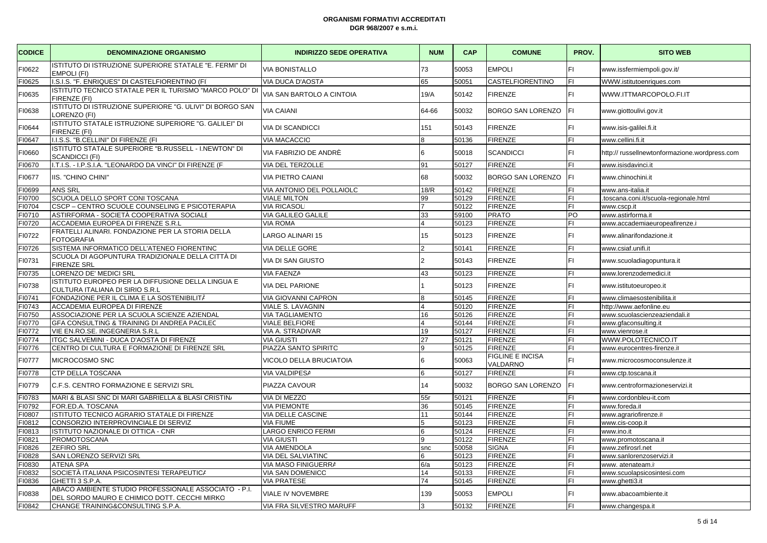| <b>CODICE</b> | <b>DENOMINAZIONE ORGANISMO</b>                                                                       | <b>INDIRIZZO SEDE OPERATIVA</b> | <b>NUM</b>     | CAP   | <b>COMUNE</b>                | PROV. | <b>SITO WEB</b>                               |
|---------------|------------------------------------------------------------------------------------------------------|---------------------------------|----------------|-------|------------------------------|-------|-----------------------------------------------|
| FI0622        | ISTITUTO DI ISTRUZIONE SUPERIORE STATALE "E. FERMI" DI<br>EMPOLI (FI)                                | <b>VIA BONISTALLO</b>           | 73             | 50053 | <b>EMPOLI</b>                | İΕL   | www.issfermiempoli.gov.it/                    |
| FI0625        | I.S.I.S. "F. ENRIQUES" DI CASTELFIORENTINO (FI                                                       | <b>VIA DUCA D'AOSTA</b>         | 65             | 50051 | CASTELFIORENTINO             | İΕL   | WWW.istitutoenriques.com                      |
| FI0635        | ISTITUTO TECNICO STATALE PER IL TURISMO "MARCO POLO" DI<br>FIRENZE (FI)                              | VIA SAN BARTOLO A CINTOIA       | 19/A           | 50142 | <b>FIRENZE</b>               | lFI.  | WWW.ITTMARCOPOLO.FI.IT                        |
| FI0638        | ISTITUTO DI ISTRUZIONE SUPERIORE "G. ULIVI" DI BORGO SAN<br>LORENZO (FI)                             | <b>VIA CAIANI</b>               | 64-66          | 50032 | <b>BORGO SAN LORENZO</b>     | FI.   | www.giottoulivi.gov.it                        |
| FI0644        | ISTITUTO STATALE ISTRUZIONE SUPERIORE "G. GALILEI" DI<br>FIRENZE (FI)                                | <b>VIA DI SCANDICCI</b>         | 151            | 50143 | <b>FIRENZE</b>               | lFI.  | www.isis-galilei.fi.it                        |
| 10647         | I.I.S.S. "B.CELLINI" DI FIRENZE (FI                                                                  | VIA MACACCIO                    |                | 50136 | <b>FIRENZE</b>               | lFI.  | www.cellini.fi.it                             |
| FI0660        | ISTITUTO STATALE SUPERIORE "B.RUSSELL - I.NEWTON" DI<br><b>SCANDICCI (FI)</b>                        | VIA FABRIZIO DE ANDRÈ           | 6              | 50018 | <b>SCANDICCI</b>             | İΕL   | http:// russellnewtonformazione.wordpress.com |
| FI0670        | I.T.I.S. - I.P.S.I.A. "LEONARDO DA VINCI" DI FIRENZE (F                                              | VIA DEL TERZOLLE                | 91             | 50127 | <b>FIRENZE</b>               | İΕL   | www.isisdavinci.it                            |
| FI0677        | IIS. "CHINO CHINI"                                                                                   | VIA PIETRO CAIANI               | 68             | 50032 | BORGO SAN LORENZO            | IFL   | www.chinochini.it                             |
| FI0699        | ANS SRL                                                                                              | VIA ANTONIO DEL POLLAIOLC       | 18/R           | 50142 | <b>FIRENZE</b>               | lFI.  | www.ans-italia.it                             |
| FI0700        | SCUOLA DELLO SPORT CONI TOSCANA                                                                      | <b>VIALE MILTON</b>             | 99             | 50129 | <b>FIRENZE</b>               | FI    | .toscana.coni.it/scuola-regionale.html        |
| FI0704        | CSCP - CENTRO SCUOLE COUNSELING E PSICOTERAPIA                                                       | <b>VIA RICASOLI</b>             |                | 50122 | <b>FIRENZE</b>               | İΕL   | www.cscp.it                                   |
| FI0710        | ASTIRFORMA - SOCIETÀ COOPERATIVA SOCIALE                                                             | <b>VIA GALILEO GALILE</b>       | 33             | 59100 | <b>PRATO</b>                 | PO    | www.astirforma.it                             |
| FI0720        | ACCADEMIA EUROPEA DI FIRENZE S.R.L                                                                   | <b>VIA ROMA</b>                 |                | 50123 | <b>FIRENZE</b>               | FI    | www.accademiaeuropeafirenze.it                |
| FI0722        | FRATELLI ALINARI. FONDAZIONE PER LA STORIA DELLA<br><b>FOTOGRAFIA</b>                                | LARGO ALINARI 15                | 15             | 50123 | <b>FIRENZE</b>               | FI    | www.alinarifondazione.it                      |
| FI0726        | SISTEMA INFORMATICO DELL'ATENEO FIORENTINC                                                           | <b>VIA DELLE GORE</b>           |                | 50141 | <b>FIRENZE</b>               | FI    | www.csiaf.unifi.it                            |
| FI0731        | SCUOLA DI AGOPUNTURA TRADIZIONALE DELLA CITTÀ DI<br><b>FIRENZE SRL</b>                               | <b>VIA DI SAN GIUSTO</b>        | $\overline{2}$ | 50143 | <b>FIRENZE</b>               | FL    | www.scuoladiagopuntura.it                     |
| FI0735        | LORENZO DE' MEDICI SRL                                                                               | <b>VIA FAENZA</b>               | 43             | 50123 | <b>FIRENZE</b>               | lFL.  | www.lorenzodemedici.it                        |
| FI0738        | ISTITUTO EUROPEO PER LA DIFFUSIONE DELLA LINGUA E<br>CULTURA ITALIANA DI SIRIO S.R.L                 | <b>VIA DEL PARIONE</b>          |                | 50123 | <b>FIRENZE</b>               | FL    | www.istitutoeuropeo.it                        |
| FI0741        | FONDAZIONE PER IL CLIMA E LA SOSTENIBILITÀ                                                           | VIA GIOVANNI CAPRON             |                | 50145 | <b>FIRENZE</b>               | lFI.  | www.climaesostenibilita.i                     |
| FI0743        | ACCADEMIA EUROPEA DI FIRENZE                                                                         | VIALE S. LAVAGNIN               |                | 50120 | <b>FIRENZE</b>               | İΕL   | http://www.aefonline.eu                       |
| FI0750        | ASSOCIAZIONE PER LA SCUOLA SCIENZE AZIENDAL                                                          | <b>VIA TAGLIAMENTO</b>          | 16             | 50126 | <b>FIRENZE</b>               | lFL.  | www.scuolascienzeaziendali.it                 |
| FI0770        | GFA CONSULTING & TRAINING DI ANDREA PACILEC                                                          | <b>VIALE BELFIORE</b>           |                | 50144 | <b>FIRENZE</b>               | FI    | www.gfaconsulting.it                          |
| FI0772        | VIE EN.RO.SE. INGEGNERIA S.R.L                                                                       | VIA A. STRADIVAR                | 19             | 50127 | <b>FIRENZE</b>               | İΕL   | www.vienrose.it                               |
| FI0774        | ITGC SALVEMINI - DUCA D'AOSTA DI FIRENZE                                                             | <b>VIA GIUSTI</b>               | 27             | 50121 | <b>FIRENZE</b>               | l۴۱   | WWW.POLOTECNICO.IT                            |
| FI0776        | CENTRO DI CULTURA E FORMAZIONE DI FIRENZE SRL                                                        | PIAZZA SANTO SPIRITC            | q              | 50125 | <b>FIRENZE</b>               | lFI.  | www.eurocentres-firenze.it                    |
| FI0777        | MICROCOSMO SNC                                                                                       | VICOLO DELLA BRUCIATOIA         | 6              | 50063 | FIGLINE E INCISA<br>VALDARNO | lFI.  | www.microcosmoconsulenze.it                   |
| FI0778        | CTP DELLA TOSCANA                                                                                    | <b>VIA VALDIPESA</b>            |                | 50127 | <b>FIRENZE</b>               | lFI.  | www.ctp.toscana.it                            |
| FI0779        | C.F.S. CENTRO FORMAZIONE E SERVIZI SRL                                                               | PIAZZA CAVOUR                   | 14             | 50032 | <b>BORGO SAN LORENZO</b>     | FI.   | www.centroformazioneservizi.it                |
| FI0783        | MARI & BLASI SNC DI MARI GABRIELLA & BLASI CRISTIN/                                                  | VIA DI MEZZO                    | 55r            | 50121 | <b>FIRENZE</b>               | FI    | www.cordonbleu-it.com                         |
| FI0792        | FOR.ED.A. TOSCANA                                                                                    | <b>VIA PIEMONTE</b>             | 36             | 50145 | <b>FIRENZE</b>               | İΕL   | www.foreda.it                                 |
| 10807         | ISTITUTO TECNICO AGRARIO STATALE DI FIRENZE                                                          | VIA DELLE CASCINE               | 11             | 50144 | <b>FIRENZE</b>               | lFL.  | www.agrariofirenze.it                         |
| FI0812        | CONSORZIO INTERPROVINCIALE DI SERVIZ                                                                 | <b>VIA FIUME</b>                | 5              | 50123 | <b>FIRENZE</b>               | FI    | www.cis-coop.it                               |
| FI0813        | ISTITUTO NAZIONALE DI OTTICA - CNR                                                                   | LARGO ENRICO FERMI              | 6              | 50124 | <b>FIRENZE</b>               | IFI   | www.ino.it                                    |
| 10821         | PROMOTOSCANA                                                                                         | <b>VIA GIUSTI</b>               |                | 50122 | <b>FIRENZE</b>               | İF١   | www.promotoscana.it                           |
| FI0826        | <b>ZEFIRO SRL</b>                                                                                    | <b>VIA AMENDOLA</b>             | snc            | 50058 | <b>SIGNA</b>                 | FI    | www.zefirosrl.net                             |
| FI0828        | SAN LORENZO SERVIZI SRL                                                                              | VIA DEL SALVIATINC              | 6              | 50123 | <b>FIRENZE</b>               | IFI   | www.sanlorenzoservizi.it                      |
| 10830         | ATENA SPA                                                                                            | VIA MASO FINIGUERRA             | 6/a            | 50123 | <b>FIRENZE</b>               | İF١   | www. atenateam.it                             |
| FI0832        | SOCIETÀ ITALIANA PSICOSINTESI TERAPEUTICA                                                            | VIA SAN DOMENICO                | 14             | 50133 | <b>FIRENZE</b>               | FI    | www.scuolapsicosintesi.com                    |
| FI0836        | GHETTI 3 S.P.A.                                                                                      | <b>VIA PRATESE</b>              | 74             | 50145 | <b>FIRENZE</b>               | ΙFΙ   | www.ghetti3.it                                |
| FI0838        | ABACO AMBIENTE STUDIO PROFESSIONALE ASSOCIATO - P.I.<br>DEL SORDO MAURO E CHIMICO DOTT. CECCHI MIRKO | VIALE IV NOVEMBRE               | 139            | 50053 | <b>EMPOLI</b>                | FI    | www.abacoambiente.it                          |
| FI0842        | CHANGE TRAINING&CONSULTING S.P.A.                                                                    | VIA FRA SILVESTRO MARUFF        |                | 50132 | <b>FIRENZE</b>               | ΙFΙ   | www.changespa.it                              |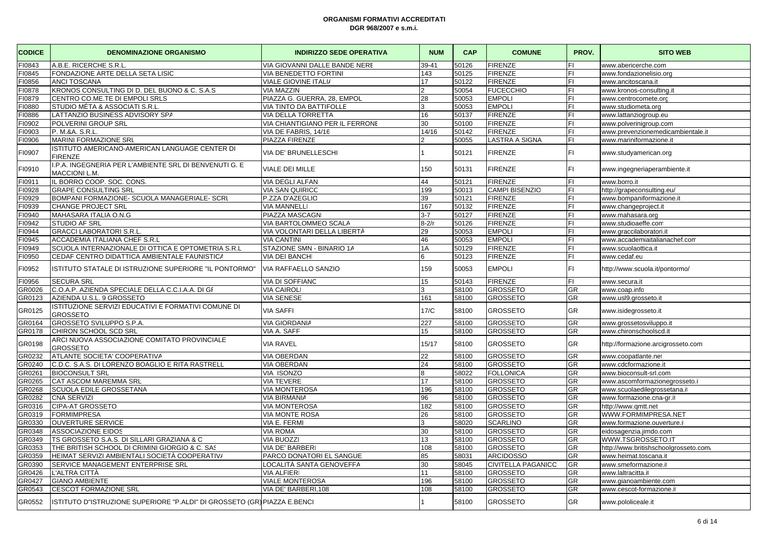| <b>CODICE</b> | <b>DENOMINAZIONE ORGANISMO</b>                                                 | <b>INDIRIZZO SEDE OPERATIVA</b> | <b>NUM</b>    | <b>CAP</b> | <b>COMUNE</b>             | PROV.          | <b>SITO WEB</b>                       |
|---------------|--------------------------------------------------------------------------------|---------------------------------|---------------|------------|---------------------------|----------------|---------------------------------------|
| FI0843        | A.B.E. RICERCHE S.R.L                                                          | VIA GIOVANNI DALLE BANDE NERE   | 39-41         | 50126      | <b>FIRENZE</b>            | FL             | www.abericerche.com                   |
| 10845         | FONDAZIONE ARTE DELLA SETA LISIC                                               | VIA BENEDETTO FORTINI           | 143           | 50125      | <b>FIRENZE</b>            | FI.            | www.fondazionelisio.org               |
| 10856         | <b>ANCI TOSCANA</b>                                                            | <b>VIALE GIOVINE ITALI/</b>     | 17            | 50122      | <b>FIRENZE</b>            | FI.            | www.ancitoscana.it                    |
| FI0878        | KRONOS CONSULTING DI D. DEL BUONO & C. S.A.S                                   | <b>VIA MAZZIN</b>               | 2             | 50054      | <b>FUCECCHIO</b>          | FI             | www.kronos-consulting.it              |
| FI0879        | CENTRO CO.ME.TE DI EMPOLI SRLS                                                 | PIAZZA G. GUERRA, 28, EMPOL     | 28            | 50053      | <b>EMPOLI</b>             | FI.            | www.centrocomete.org                  |
| 10880         | STUDIO MÉTA & ASSOCIATI S.R.L                                                  | VIA TINTO DA BATTIFOLLE         | 3             | 50053      | <b>EMPOLI</b>             | FI.            | www.studiometa.org                    |
| FI0886        | LATTANZIO BUSINESS ADVISORY SPA                                                | VIA DELLA TORRETTA              | 16            | 50137      | <b>FIRENZE</b>            | FL             | www.lattanziogroup.eu                 |
| FI0902        | POLVERINI GROUP SRL                                                            | VIA CHIANTIGIANO PER IL FERRONE | 30            | 50100      | <b>FIRENZE</b>            | FI.            | www.polverinigroup.com                |
| 10903         | P. M.&A. S.R.L                                                                 | VIA DE FABRIS, 14/16            | 14/16         | 50142      | <b>FIRENZE</b>            | FI.            | www.prevenzionemedicambientale.it     |
| 10906         | <b>MARINI FORMAZIONE SRL</b>                                                   | PIAZZA FIRENZE                  | $\mathcal{D}$ | 50055      | LASTRA A SIGNA            | FL             | www.mariniformazione.it               |
| FI0907        | ISTITUTO AMERICANO-AMERICAN LANGUAGE CENTER DI<br><b>FIRENZE</b>               | VIA DE' BRUNELLESCHI            |               | 50121      | <b>FIRENZE</b>            | FI.            | www.studyamerican.org                 |
| FI0910        | I.P.A. INGEGNERIA PER L'AMBIENTE SRL DI BENVENUTI G. E<br><b>MACCIONI L.M.</b> | <b>VIALE DEI MILLE</b>          | 150           | 50131      | <b>FIRENZE</b>            | FI             | www.ingegneriaperambiente.it          |
| 10911         | IL BORRO COOP. SOC. CONS.                                                      | <b>VIA DEGLI ALFAN</b>          | 44            | 50121      | <b>FIRENZE</b>            | FI             | www.borro.it                          |
| FI0928        | <b>GRAPE CONSULTING SRL</b>                                                    | <b>VIA SAN QUIRICC</b>          | 199           | 50013      | <b>CAMPI BISENZIO</b>     | FI             | http://grapeconsulting.eu/            |
| FI0929        | BOMPANI FORMAZIONE- SCUOLA MANAGERIALE- SCRI                                   | P.ZZA D'AZEGLIO                 | 39            | 50121      | <b>FIRENZE</b>            | FL             | www.bompaniformazione.it              |
| 10939         | <b>CHANGE PROJECT SRL</b>                                                      | <b>VIA MANNELLI</b>             | 167           | 50132      | <b>FIRENZE</b>            | FI.            | www.changeproject.it                  |
| FI0940        | MAHASARA ITALIA O.N.G                                                          | PIAZZA MASCAGN                  | $3 - 7$       | 50127      | <b>FIRENZE</b>            | FI             | www.mahasara.org                      |
| FI0942        | STUDIO AF SRL                                                                  | VIA BARTOLOMMEO SCALA           | $8-2/r$       | 50126      | <b>FIRENZE</b>            | FL             | www.studioaeffe.com                   |
| 10944         | <b>GRACCI LABORATORI S.R.L</b>                                                 | VIA VOLONTARI DELLA LIBERTÀ     | 29            | 50053      | <b>EMPOLI</b>             | FI.            | www.graccilaboratori.it               |
| FI0945        | ACCADEMIA ITALIANA CHEF S.R.L                                                  | <b>VIA CANTINI</b>              | 46            | 50053      | <b>EMPOLI</b>             | FI             | www.accademiaitalianachef.com         |
| FI0949        | SCUOLA INTERNAZIONALE DI OTTICA E OPTOMETRIA S.R.L                             | STAZIONE SMN - BINARIO 1A       | 1A            | 50129      | <b>FIRENZE</b>            | FL             | www.scuolaottica.it                   |
| 10950         | CEDAF CENTRO DIDATTICA AMBIENTALE FAUNISTICA                                   | <b>VIA DEI BANCHI</b>           | 6             | 50123      | <b>FIRENZE</b>            | FI.            | www.cedaf.eu                          |
| FI0952        | ISTITUTO STATALE DI ISTRUZIONE SUPERIORE "IL PONTORMO"                         | <b>VIA RAFFAELLO SANZIO</b>     | 159           | 50053      | <b>EMPOLI</b>             | FI             | http://www.scuola.it/pontormo/        |
| FI0956        | <b>SECURA SRL</b>                                                              | VIA DI SOFFIANC                 | 15            | 50143      | <b>FIRENZE</b>            | $\overline{F}$ | www.secura.it                         |
| GR0026        | C.O.A.P. AZIENDA SPECIALE DELLA C.C.I.A.A. DI GI                               | <b>VIA CAIROL</b>               | 3             | 58100      | <b>GROSSETO</b>           | <b>GR</b>      | www.coap.info                         |
| GR0123        | AZIENDA U.S.L. 9 GROSSETO                                                      | <b>VIA SENESE</b>               | 161           | 58100      | <b>GROSSETO</b>           | GR             | www.usl9.grosseto.it                  |
| GR0125        | ISTITUZIONE SERVIZI EDUCATIVI E FORMATIVI COMUNE DI<br><b>GROSSETO</b>         | <b>VIA SAFFI</b>                | 17/C          | 58100      | <b>GROSSETO</b>           | GR             | www.isidegrosseto.it                  |
| GR0164        | GROSSETO SVILUPPO S.P.A.                                                       | <b>VIA GIORDANIA</b>            | 227           | 58100      | <b>GROSSETO</b>           | <b>GR</b>      | www.grossetosviluppo.it               |
| GR0178        | CHIRON SCHOOL SCD SRL                                                          | VIA A. SAFF                     | 15            | 58100      | GROSSETO                  | GR             | www.chironschoolscd.it                |
| GR0198        | ARCI NUOVA ASSOCIAZIONE COMITATO PROVINCIALE<br><b>GROSSETO</b>                | <b>VIA RAVEL</b>                | 15/17         | 58100      | <b>GROSSETO</b>           | GR             | http://formazione.arcigrosseto.com    |
| GR0232        | ATLANTE SOCIETA' COOPERATIVA                                                   | <b>VIA OBERDAN</b>              | 22            | 58100      | <b>GROSSETO</b>           | <b>GR</b>      | www.coopatlante.net                   |
| GR0240        | C.D.C. S.A.S. DI LORENZO BOAGLIO E RITA RASTRELL                               | <b>VIA OBERDAN</b>              | 24            | 58100      | <b>GROSSETO</b>           | <b>GR</b>      | www.cdcformazione.it                  |
| GR0261        | <b>BIOCONSULT SRL</b>                                                          | VIA ISONZC                      | 8             | 58022      | <b>FOLLONICA</b>          | <b>GR</b>      | www.bioconsult-srl.com                |
| GR0265        | <b>CAT ASCOM MAREMMA SRL</b>                                                   | <b>VIA TEVERE</b>               | 17            | 58100      | <b>GROSSETO</b>           | <b>GR</b>      | www.ascomformazionegrosseto.i         |
| GR0268        | SCUOLA EDILE GROSSETANA                                                        | <b>VIA MONTEROSA</b>            | 196           | 58100      | <b>GROSSETO</b>           | <b>GR</b>      | www.scuolaedilegrossetana.it          |
| GR0282        | <b>CNA SERVIZI</b>                                                             | <b>VIA BIRMANIA</b>             | 96            | 58100      | <b>GROSSETO</b>           | <b>GR</b>      | www.formazione.cna-gr.it              |
| GR0316        | <b>CIPA-AT GROSSETO</b>                                                        | <b>VIA MONTEROSA</b>            | 182           | 58100      | <b>GROSSETO</b>           | <b>GR</b>      | http://www.qmtt.net                   |
| GR0319        | <b>FORMIMPRESA</b>                                                             | VIA MONTE ROSA                  | 26            | 58100      | <b>GROSSETO</b>           | GR             | WWW.FORMIMPRESA.NET                   |
| GR0330        | <b>OUVERTURE SERVICE</b>                                                       | VIA E. FERMI                    | 3             | 58020      | <b>SCARLINO</b>           | <b>GR</b>      | www.formazione.ouverture.it           |
| GR0348        | <b>ASSOCIAZIONE EIDOS</b>                                                      | <b>VIA ROMA</b>                 | 30            | 58100      | <b>GROSSETO</b>           | <b>GR</b>      | eidosagenzia.jimdo.com                |
| GR0349        | TS GROSSETO S.A.S. DI SILLARI GRAZIANA & C                                     | <b>VIA BUOZZI</b>               | 13            | 58100      | GROSSETO                  | GR             | WWW.TSGROSSETO.IT                     |
| GR0353        | THE BRITISH SCHOOL DI CRIMINI GIORGIO & C. SAS                                 | <b>VIA DE' BARBERI</b>          | 108           | 58100      | <b>GROSSETO</b>           | <b>GR</b>      | http://www.britishschoolgrosseto.com/ |
| GR0359        | HEIMAT SERVIZI AMBIENTALI SOCIETÀ COOPERATIV/                                  | PARCO DONATORI EL SANGUE        | 85            | 58031      | <b>ARCIDOSSO</b>          | <b>GR</b>      | www.heimat.toscana.il                 |
| GR0390        | SERVICE MANAGEMENT ENTERPRISE SRL                                              | LOCALITÀ SANTA GENOVEFFA        | 30            | 58045      | <b>CIVITELLA PAGANICC</b> | <b>GR</b>      | www.smeformazione.it                  |
| GR0426        | L'ALTRA CITTÀ                                                                  | <b>VIA ALFIER</b>               | 11            | 58100      | <b>GROSSETO</b>           | <b>GR</b>      | www.laltracitta.it                    |
| GR0427        | <b>GIANO AMBIENTE</b>                                                          | <b>VIALE MONTEROSA</b>          | 196           | 58100      | <b>GROSSETO</b>           | <b>GR</b>      | www.gianoambiente.com                 |
| GR0543        | <b>CESCOT FORMAZIONE SRL</b>                                                   | VIA DE' BARBERI, 108            | 108           | 58100      | <b>GROSSETO</b>           | <b>GR</b>      | www.cescot-formazione.i               |
| GR0552        | ISTITUTO D"ISTRUZIONE SUPERIORE "P.ALDI" DI GROSSETO (GR) PIAZZA E.BENCI       |                                 |               | 58100      | <b>GROSSETO</b>           | <b>GR</b>      | www.pololiceale.it                    |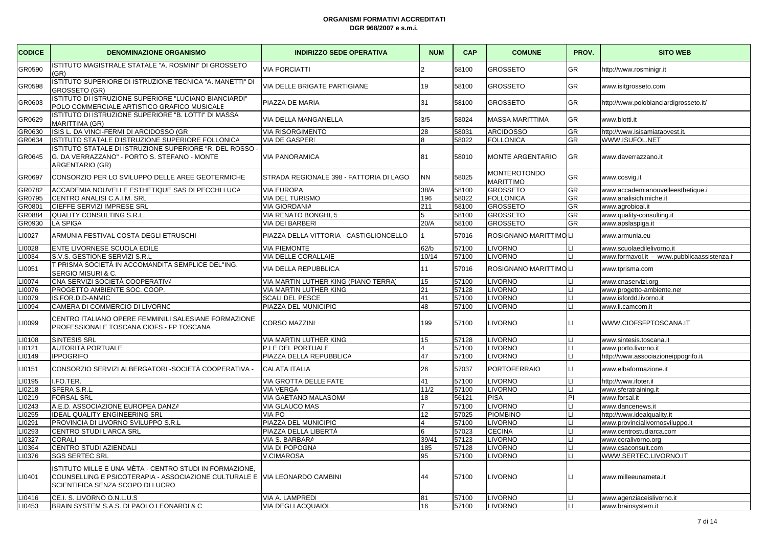| <b>CODICE</b> | <b>DENOMINAZIONE ORGANISMO</b>                                                                                                                                            | <b>INDIRIZZO SEDE OPERATIVA</b>         | <b>NUM</b>              | <b>CAP</b> | <b>COMUNE</b>                           | PROV.                  | <b>SITO WEB</b>                            |
|---------------|---------------------------------------------------------------------------------------------------------------------------------------------------------------------------|-----------------------------------------|-------------------------|------------|-----------------------------------------|------------------------|--------------------------------------------|
| GR0590        | ISTITUTO MAGISTRALE STATALE "A. ROSMINI" DI GROSSETO<br>(GR)                                                                                                              | <b>VIA PORCIATTI</b>                    |                         | 58100      | <b>GROSSETO</b>                         | GR                     | http://www.rosminigr.it                    |
| GR0598        | ISTITUTO SUPERIORE DI ISTRUZIONE TECNICA "A. MANETTI" DI<br>GROSSETO (GR)                                                                                                 | VIA DELLE BRIGATE PARTIGIANE            | 19                      | 58100      | <b>GROSSETO</b>                         | <b>GR</b>              | www.isitgrosseto.com                       |
| GR0603        | ISTITUTO DI ISTRUZIONE SUPERIORE "LUCIANO BIANCIARDI"<br>POLO COMMERCIALE ARTISTICO GRAFICO MUSICALE                                                                      | PIAZZA DE MARIA                         | 31                      | 58100      | <b>GROSSETO</b>                         | <b>GR</b>              | http://www.polobianciardigrosseto.it/      |
| GR0629        | ISTITUTO DI ISTRUZIONE SUPERIORE "B. LOTTI" DI MASSA<br>MARITTIMA (GR)                                                                                                    | VIA DELLA MANGANELLA                    | 3/5                     | 58024      | <b>MASSA MARITTIMA</b>                  | <b>GR</b>              | www.blotti.it                              |
| GR0630        | ISIS L. DA VINCI-FERMI DI ARCIDOSSO (GR                                                                                                                                   | <b>VIA RISORGIMENTO</b>                 | 28                      | 58031      | <b>ARCIDOSSO</b>                        | <b>GR</b>              | http://www.isisamiataovest.it/             |
| GR0634        | ISTITUTO STATALE D'ISTRUZIONE SUPERIORE FOLLONICA                                                                                                                         | VIA DE GASPERI                          | $\mathsf{R}$            | 58022      | <b>FOLLONICA</b>                        | <b>GR</b>              | WWW.ISUFOL.NET                             |
| GR0645        | ISTITUTO STATALE DI ISTRUZIONE SUPERIORE "R. DEL ROSSO -<br>G. DA VERRAZZANO" - PORTO S. STEFANO - MONTE<br>ARGENTARIO (GR)                                               | <b>VIA PANORAMICA</b>                   | 81                      | 58010      | <b>MONTE ARGENTARIO</b>                 | <b>GR</b>              | www.daverrazzano.it                        |
| GR0697        | CONSORZIO PER LO SVILUPPO DELLE AREE GEOTERMICHE                                                                                                                          | STRADA REGIONALE 398 - FATTORIA DI LAGO | <b>NN</b>               | 58025      | <b>MONTEROTONDO</b><br><b>MARITTIMO</b> | GR                     | www.cosvig.it                              |
| GR0782        | ACCADEMIA NOUVELLE ESTHETIQUE SAS DI PECCHI LUCA                                                                                                                          | <b>VIA EUROPA</b>                       | 38/A                    | 58100      | <b>GROSSETO</b>                         | <b>GR</b>              | www.accademianouvelleesthetique.it         |
| GR0795        | CENTRO ANALISI C.A.I.M. SRL                                                                                                                                               | <b>VIA DEL TURISMO</b>                  | 196                     | 58022      | <b>FOLLONICA</b>                        | <b>GR</b>              | www.analisichimiche.it                     |
| GR0801        | CIEFFE SERVIZI IMPRESE SRL                                                                                                                                                | <b>VIA GIORDANIA</b>                    | 211                     | 58100      | <b>GROSSETO</b>                         | <b>GR</b>              | www.agrobioal.it                           |
| GR0884        | QUALITY CONSULTING S.R.L.                                                                                                                                                 | VIA RENATO BONGHI, 5                    | 5                       | 58100      | <b>GROSSETO</b>                         | <b>GR</b>              | www.quality-consulting.it                  |
| GR0930        | <b>LA SPIGA</b>                                                                                                                                                           | <b>VIA DEI BARBERI</b>                  | 20/A                    | 58100      | <b>GROSSETO</b>                         | <b>GR</b>              | www.apslaspiga.it                          |
| 10027         | ARMUNIA FESTIVAL COSTA DEGLI ETRUSCHI                                                                                                                                     | PIAZZA DELLA VITTORIA - CASTIGLIONCELLO |                         | 57016      | ROSIGNANO MARITTIMOLI                   |                        | www.armunia.eu                             |
| 10028         | ENTE LIVORNESE SCUOLA EDILE                                                                                                                                               | <b>VIA PIEMONTE</b>                     | 62/b                    | 57100      | <b>LIVORNO</b>                          | IЦ                     | www.scuolaedilelivorno.it                  |
| 10034         | S.V.S. GESTIONE SERVIZI S.R.L                                                                                                                                             | VIA DELLE CORALLAIE                     | 10/14                   | 57100      | <b>LIVORNO</b>                          | IЦ                     | www.formavol.it - www.pubblicaassistenza.i |
| .10051        | T PRISMA SOCIETÀ IN ACCOMANDITA SEMPLICE DEL''ING.<br>SERGIO MISURI & C.                                                                                                  | VIA DELLA REPUBBLICA                    | 11                      | 57016      | ROSIGNANO MARITTIMOLI                   |                        | www.tprisma.com                            |
| 10074         | CNA SERVIZI SOCIETÀ COOPERATIVA                                                                                                                                           | VIA MARTIN LUTHER KING (PIANO TERRA)    | 15                      | 57100      | <b>LIVORNO</b>                          | II I                   | www.cnaservizi.org                         |
| 10076         | PROGETTO AMBIENTE SOC. COOP.                                                                                                                                              | VIA MARTIN LUTHER KING                  | 21                      | 57128      | <b>LIVORNO</b>                          | hт                     | www.progetto-ambiente.net                  |
| 10079         | IS.FOR.D.D-ANMIC                                                                                                                                                          | <b>SCALI DEL PESCE</b>                  | 41                      | 57100      | <b>LIVORNO</b>                          | Iц                     | www.isfordd.livorno.it                     |
| 10094         | CAMERA DI COMMERCIO DI LIVORNO                                                                                                                                            | PIAZZA DEL MUNICIPIC                    | 48                      | 57100      | <b>LIVORNO</b>                          | IЦ                     | www.li.camcom.it                           |
| 10099         | CENTRO ITALIANO OPERE FEMMINILI SALESIANE FORMAZIONE<br>PROFESSIONALE TOSCANA CIOFS - FP TOSCANA                                                                          | <b>CORSO MAZZINI</b>                    | 199                     | 57100      | <b>LIVORNO</b>                          | $\mathsf{L}\mathsf{L}$ | WWW.CIOFSFPTOSCANA.IT                      |
| 10108         | SINTESIS SRL                                                                                                                                                              | VIA MARTIN LUTHER KING                  | 15                      | 57128      | <b>LIVORNO</b>                          | IЦ                     | www.sintesis.toscana.it                    |
| 10121         | AUTORITÀ PORTUALE                                                                                                                                                         | P.LE DEL PORTUALE                       | $\overline{\mathbf{4}}$ | 57100      | <b>LIVORNO</b>                          | hт                     | www.porto.livorno.it                       |
| <b>I0149</b>  | <b>IPPOGRIFO</b>                                                                                                                                                          | PIAZZA DELLA REPUBBLICA                 | 47                      | 57100      | <b>LIVORNO</b>                          | IЦ                     | http://www.associazioneippogrifo.it        |
| .I0151        | CONSORZIO SERVIZI ALBERGATORI - SOCIETÀ COOPERATIVA -                                                                                                                     | <b>CALATA ITALIA</b>                    | 26                      | 57037      | <b>PORTOFERRAIO</b>                     | $\mathbf{L}$           | www.elbaformazione.it                      |
| <b>10195</b>  | I.FO.TER.                                                                                                                                                                 | VIA GROTTA DELLE FATE                   | 41                      | 57100      | <b>LIVORNO</b>                          | ILI.                   | http://www.ifoter.it                       |
| 10218         | SFERA S.R.L.                                                                                                                                                              | <b>VIA VERGA</b>                        | 11/2                    | 57100      | <b>LIVORNO</b>                          | IЦ                     | www.sferatraining.it                       |
| 10219         | <b>FORSAL SRL</b>                                                                                                                                                         | VIA GAETANO MALASOMA                    | 18                      | 56121      | <b>PISA</b>                             | <b>PI</b>              | www.forsal.it                              |
| 10243         | A.E.D. ASSOCIAZIONE EUROPEA DANZA                                                                                                                                         | VIA GLAUCO MAS                          | $\overline{7}$          | 57100      | <b>LIVORNO</b>                          | Iц                     | www.dancenews.it                           |
| 10255         | <b>IDEAL QUALITY ENGINEERING SRL</b>                                                                                                                                      | <b>VIA PO</b>                           | 12                      | 57025      | <b>PIOMBINO</b>                         | IЦ                     | http://www.idealquality.it                 |
| 10291         | PROVINCIA DI LIVORNO SVILUPPO S.R.L                                                                                                                                       | PIAZZA DEL MUNICIPIC                    | 4                       | 57100      | <b>LIVORNO</b>                          | Ш                      | www.provincialivornosviluppo.it            |
| 10293         | <b>CENTRO STUDI L'ARCA SRL</b>                                                                                                                                            | PIAZZA DELLA LIBERTÀ                    | 6                       | 57023      | <b>CECINA</b>                           | Iц                     | www.centrostudiarca.com                    |
| 10327         | <b>CORALI</b>                                                                                                                                                             | VIA S. BARBARA                          | 39/41                   | 57123      | <b>LIVORNO</b>                          | IЦ                     | www.coralivorno.org                        |
| 10364         | CENTRO STUDI AZIENDALI                                                                                                                                                    | VIA DI POPOGNA                          | 185                     | 57128      | <b>LIVORNO</b>                          | Iц                     | www.csaconsult.com                         |
| 10376         | <b>SGS SERTEC SRL</b>                                                                                                                                                     | <b>V.CIMAROSA</b>                       | 95                      | 57100      | <b>LIVORNO</b>                          | hт                     | WWW.SERTEC.LIVORNO.IT                      |
| 10401         | ISTITUTO MILLE E UNA MÈTA - CENTRO STUDI IN FORMAZIONE,<br>COUNSELLING E PSICOTERAPIA - ASSOCIAZIONE CULTURALE E VIA LEONARDO CAMBINI<br>SCIENTIFICA SENZA SCOPO DI LUCRO |                                         | 44                      | 57100      | <b>LIVORNO</b>                          | $\mathsf{L}$           | www.milleeunameta.it                       |
| 10416         | CE.I. S. LIVORNO O.N.L.U.S                                                                                                                                                | VIA A. LAMPREDI                         | 81                      | 57100      | <b>LIVORNO</b>                          | IЦ                     | www.agenziaceislivorno.it                  |
| LI0453        | BRAIN SYSTEM S.A.S. DI PAOLO LEONARDI & C                                                                                                                                 | <b>VIA DEGLI ACQUAIOL</b>               | 16                      | 57100      | <b>LIVORNO</b>                          | IЦ                     | www.brainsystem.it                         |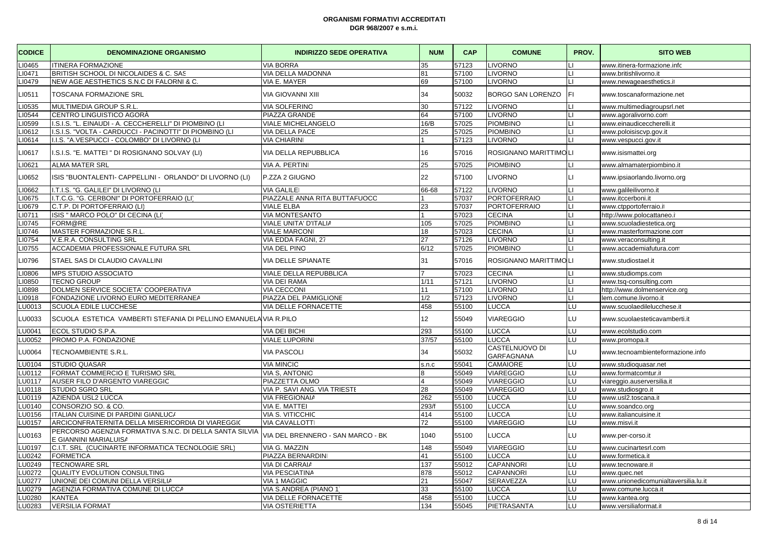| <b>CODICE</b> | <b>DENOMINAZIONE ORGANISMO</b>                                                   | <b>INDIRIZZO SEDE OPERATIVA</b>   | <b>NUM</b> | <b>CAP</b> | <b>COMUNE</b>                       | PROV.        | <b>SITO WEB</b>                      |
|---------------|----------------------------------------------------------------------------------|-----------------------------------|------------|------------|-------------------------------------|--------------|--------------------------------------|
| 10465         | <b>ITINERA FORMAZIONE</b>                                                        | <b>VIA BORRA</b>                  | 35         | 57123      | <b>LIVORNO</b>                      |              | www.itinera-formazione.info          |
| 10471         | BRITISH SCHOOL DI NICOLAIDES & C. SAS                                            | VIA DELLA MADONNA                 | 81         | 57100      | <b>LIVORNO</b>                      |              | www.britishlivorno.it                |
| 10479         | NEW AGE AESTHETICS S.N.C DI FALORNI & C.                                         | VIA E. MAYER                      | 69         | 57100      | <b>LIVORNO</b>                      |              | www.newageaesthetics.it              |
| 10511         | TOSCANA FORMAZIONE SRL                                                           | <b>VIA GIOVANNI XIII</b>          | 34         | 50032      | BORGO SAN LORENZO                   | FI.          | www.toscanaformazione.net            |
| <b>.I0535</b> | <b>MULTIMEDIA GROUP S.R.L</b>                                                    | <b>VIA SOLFERINO</b>              | 30         | 57122      | <b>LIVORNO</b>                      |              | www.multimediagroupsrl.net           |
| 10544         | <b>CENTRO LINGUISTICO AGORÀ</b>                                                  | PIAZZA GRANDE                     | 64         | 57100      | <b>LIVORNO</b>                      | LI.          | www.agoralivorno.com                 |
| 10599         | I.S.I.S. "L. EINAUDI - A. CECCHERELLI" DI PIOMBINO (LI                           | VIALE MICHELANGELO                | 16/B       | 57025      | <b>PIOMBINO</b>                     |              | www.einaudiceccherelli.it            |
| 10612         | I.S.I.S. "VOLTA - CARDUCCI - PACINOTTI" DI PIOMBINO (LI                          | VIA DELLA PACE                    | 25         | 57025      | PIOMBINO                            |              | www.poloisiscvp.gov.it               |
| 10614         | II.I.S. "A.VESPUCCI - COLOMBO" DI LIVORNO (LI                                    | <b>VIA CHIARINI</b>               |            | 57123      | <b>LIVORNO</b>                      |              | www.vespucci.gov.it                  |
| 10617         | I.S.I.S. "E. MATTEI" DI ROSIGNANO SOLVAY (LI)                                    | VIA DELLA REPUBBLICA              | 16         | 57016      | ROSIGNANO MARITTIMO LI              |              | www.isismattei.org                   |
| 10621         | <b>ALMA MATER SRL</b>                                                            | VIA A. PERTINI                    | 25         | 57025      | <b>PIOMBINO</b>                     |              | www.almamaterpiombino.it             |
| 10652         | ISIS "BUONTALENTI- CAPPELLINI - ORLANDO" DI LIVORNO (LI)                         | P.ZZA 2 GIUGNO                    | 22         | 57100      | <b>LIVORNO</b>                      | LI.          | www.ipsiaorlando.livorno.org         |
| 10662         | I.T.I.S. "G. GALILEI" DI LIVORNO (LI                                             | <b>VIA GALILE</b>                 | 66-68      | 57122      | <b>LIVORNO</b>                      | 11           | www.galileilivorno.it                |
| 10675         | I.T.C.G. "G. CERBONI" DI PORTOFERRAIO (LI'                                       | PIAZZALE ANNA RITA BUTTAFUOCC     |            | 57037      | <b>PORTOFERRAIO</b>                 |              | www.itccerboni.it                    |
| 10679         | C.T.P. DI PORTOFERRAIO (LI)                                                      | <b>VIALE ELBA</b>                 | 23         | 57037      | <b>PORTOFERRAIO</b>                 |              | www.ctpportoferraio.it               |
| 10711         | ISIS " MARCO POLO" DI CECINA (LI                                                 | <b>VIA MONTESANTO</b>             |            | 57023      | <b>CECINA</b>                       | $\mathbf{L}$ | http://www.polocattaneo.i            |
| 10745         | FORM@RE                                                                          | VIALE UNITA' D'ITALIA             | 105        | 57025      | <b>PIOMBINO</b>                     |              | www.scuoladiestetica.org             |
| 10746         | MASTER FORMAZIONE S.R.L                                                          | <b>VIALE MARCONI</b>              | 18         | 57023      | <b>CECINA</b>                       |              | www.masterformazione.com             |
| 10754         | V.E.R.A. CONSULTING SRL                                                          | VIA EDDA FAGNI, 27                | 27         | 57126      | <b>LIVORNO</b>                      |              | www.veraconsulting.it                |
| 10755         | ACCADEMIA PROFESSIONALE FUTURA SRL                                               | <b>VIA DEL PINO</b>               | 6/12       | 57025      | <b>PIOMBINO</b>                     |              | www.accademiafutura.com              |
| 10796         | STAEL SAS DI CLAUDIO CAVALLINI                                                   | VIA DELLE SPIANATE                | 31         | 57016      | ROSIGNANO MARITTIMO LI              |              | www.studiostael.it                   |
| 10806         | MPS STUDIO ASSOCIATO                                                             | VIALE DELLA REPUBBLICA            |            | 57023      | <b>CECINA</b>                       |              | www.studiomps.com                    |
| 10850         | <b>TECNO GROUP</b>                                                               | <b>VIA DEI RAMA</b>               | 1/11       | 57121      | <b>LIVORNO</b>                      |              | www.tsq-consulting.com               |
| 10898         | DOLMEN SERVICE SOCIETA' COOPERATIVA                                              | <b>VIA CECCONI</b>                | 11         | 57100      | <b>LIVORNO</b>                      | $\mathsf{L}$ | http://www.dolmenservice.org         |
| 10918         | FONDAZIONE LIVORNO EURO MEDITERRANEA                                             | PIAZZA DEL PAMIGLIONE             | 1/2        | 57123      | <b>LIVORNO</b>                      |              | lem.comune.livorno.it                |
| U0013         | SCUOLA EDILE LUCCHESE                                                            | VIA DELLE FORNACETTE              | 458        | 55100      | LUCCA                               | LU           | www.scuolaedilelucchese.it           |
| LU0033        | SCUOLA ESTETICA VAMBERTI STEFANIA DI PELLINO EMANUELA VIA R.PILO                 |                                   | 12         | 55049      | <b>VIAREGGIO</b>                    | LU           | www.scuolaesteticavamberti.it        |
| U0041         | ECOL STUDIO S.P.A.                                                               | <b>VIA DEI BICH</b>               | 293        | 55100      | LUCCA                               | LU           | www.ecolstudio.com                   |
| <b>U0052</b>  | PROMO P.A. FONDAZIONE                                                            | <b>VIALE LUPORINI</b>             | 37/57      | 55100      | LUCCA                               | LU.          | www.promopa.it                       |
| <b>U0064</b>  | TECNOAMBIENTE S.R.L.                                                             | VIA PASCOLI                       | 34         | 55032      | CASTELNUOVO DI<br><b>GARFAGNANA</b> | LU           | www.tecnoambienteformazione.info     |
| <b>LU0104</b> | <b>STUDIO QUASAR</b>                                                             | <b>VIA MINCIO</b>                 | s.n.c      | 55041      | <b>CAMAIORE</b>                     | LU           | www.studioquasar.net                 |
| U0112         | FORMAT COMMERCIO E TURISMO SRL                                                   | <b>VIA S, ANTONIC</b>             |            | 55049      | VIAREGGIO                           | LU           | www.formatcomtur.it                  |
| U0117         | AUSER FILO D'ARGENTO VIAREGGIC                                                   | PIAZZETTA OLMO                    |            | 55049      | <b>VIAREGGIO</b>                    | LU           | viareggio.auserversilia.it           |
| <b>U0118</b>  | <b>STUDIO SGRO SRL</b>                                                           | VIA P. SAVI ANG. VIA TRIESTI      | 28         | 55049      | VIAREGGIO                           | LU           | www.studiosgro.it                    |
| <b>U0119</b>  | AZIENDA USL2 LUCCA                                                               | <b>VIA FREGIONAIA</b>             | 262        | 55100      | LUCCA                               | LU           | www.usl2.toscana.it                  |
| U0140         | CONSORZIO SO. & CO.                                                              | VIA E. MATTEI                     | 293/f      | 55100      | LUCCA                               | LU           | www.soandco.org                      |
| <b>U0156</b>  | ITALIAN CUISINE DI PARDINI GIANLUC/                                              | <b>VIA S. VITICCHIC</b>           | 414        | 55100      | LUCCA                               | <b>LU</b>    | www.italiancuisine.it                |
| <b>U0157</b>  | ARCICONFRATERNITA DELLA MISERICORDIA DI VIAREGGIO                                | <b>VIA CAVALLOTTI</b>             | 72         | 55100      | <b>VIAREGGIO</b>                    | LU           | www.misvi.it                         |
| <b>U0163</b>  | PERCORSO AGENZIA FORMATIVA S.N.C. DI DELLA SANTA SILVIA<br>E GIANNINI MARIALUISA | VIA DEL BRENNERO - SAN MARCO - BK | 1040       | 55100      | LUCCA                               | LU           | www.per-corso.it                     |
| <b>U0197</b>  | C.I.T. SRL (CUCINARTE INFORMATICA TECNOLOGIE SRL)                                | VIA G. MAZZIN                     | 148        | 55049      | <b>VIAREGGIO</b>                    | LU           | www.cucinartesrl.com                 |
| U0242         | <b>FORMETICA</b>                                                                 | PIAZZA BERNARDINI                 | 41         | 55100      | LUCCA                               | LU           | www.formetica.it                     |
| <b>U0249</b>  | <b>TECNOWARE SRL</b>                                                             | VIA DI CARRAIA                    | 137        | 55012      | <b>CAPANNORI</b>                    | <b>LU</b>    | www.tecnoware.it                     |
| U0272         | <b>QUALITY EVOLUTION CONSULTING</b>                                              | <b>VIA PESCIATINA</b>             | 878        | 55012      | CAPANNORI                           | LU           | www.quec.net                         |
| U0277         | UNIONE DEI COMUNI DELLA VERSILIA                                                 | <b>VIA 1 MAGGIC</b>               | 21         | 55047      | SERAVEZZA                           | LU           | www.unionedicomunialtaversilia.lu.it |
| <b>LU0279</b> | AGENZIA FORMATIVA COMUNE DI LUCCA                                                | VIA S.ANDREA (PIANO 1             | 33         | 55100      | LUCCA                               | LU           | www.comune.lucca.it                  |
| <b>U0280</b>  | <b>KANTEA</b>                                                                    | VIA DELLE FORNACETTE              | 458        | 55100      | LUCCA                               | LU           | www.kantea.org                       |
| LU0283        | <b>VERSILIA FORMAT</b>                                                           | <b>VIA OSTERIETTA</b>             | 134        | 55045      | PIETRASANTA                         | LU           | www.versiliaformat.it                |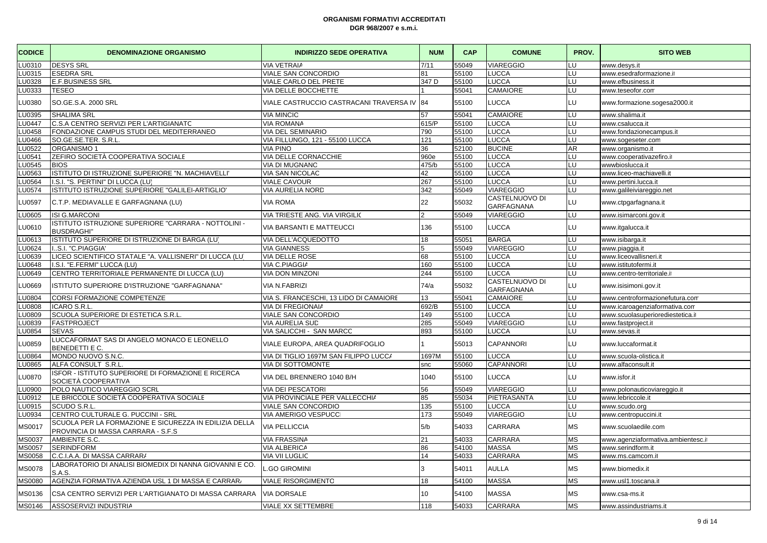| <b>CODICE</b> | <b>DENOMINAZIONE ORGANISMO</b>                                                               | <b>INDIRIZZO SEDE OPERATIVA</b>         | <b>NUM</b> | <b>CAP</b> | <b>COMUNE</b>                       | PROV.     | <b>SITO WEB</b>                   |
|---------------|----------------------------------------------------------------------------------------------|-----------------------------------------|------------|------------|-------------------------------------|-----------|-----------------------------------|
| LU0310        | <b>DESYS SRL</b>                                                                             | <b>VIA VETRAIA</b>                      | 7/11       | 55049      | VIAREGGIO                           | LU        | www.desys.it                      |
| LU0315        | <b>ESEDRA SRL</b>                                                                            | VIALE SAN CONCORDIO                     | 81         | 55100      | LUCCA                               | LU        | www.esedraformazione.it           |
| LU0328        | <b>E.F.BUSINESS SRL</b>                                                                      | VIALE CARLO DEL PRETE                   | 347 D      | 55100      | <b>LUCCA</b>                        | LU        | www.efbusiness.it                 |
| LU0333        | <b>TESEO</b>                                                                                 | VIA DELLE BOCCHETTE                     |            | 55041      | <b>CAMAIORE</b>                     | LU        | www.teseofor.com                  |
| LU0380        | SO.GE.S.A. 2000 SRL                                                                          | VIALE CASTRUCCIO CASTRACANI TRAVERSA IV | 84         | 55100      | LUCCA                               | LU        | www.formazione.sogesa2000.it      |
| LU0395        | <b>SHALIMA SRL</b>                                                                           | <b>VIA MINCIO</b>                       | 57         | 55041      | CAMAIORE                            | LU        | www.shalima.it                    |
| LU0447        | C.S.A CENTRO SERVIZI PER L'ARTIGIANATC                                                       | <b>VIA ROMANA</b>                       | 615/P      | 55100      | LUCCA                               | LU        | www.csalucca.it                   |
| <b>LU0458</b> | FONDAZIONE CAMPUS STUDI DEL MEDITERRANEO                                                     | <b>VIA DEL SEMINARIO</b>                | 790        | 55100      | <b>LUCCA</b>                        | LU        | www.fondazionecampus.it           |
| LU0466        | SO.GE.SE.TER. S.R.L.                                                                         | VIA FILLUNGO, 121 - 55100 LUCCA         | 121        | 55100      | LUCCA                               | LU        | www.sogeseter.com                 |
| LU0522        | ORGANISMO 1                                                                                  | <b>VIA PINO</b>                         | 36         | 52100      | <b>BUCINE</b>                       | AR.       | www.organismo.it                  |
| <b>U0541</b>  | ZEFIRO SOCIETÀ COOPERATIVA SOCIALE                                                           | VIA DELLE CORNACCHIE                    | 960e       | 55100      | <b>LUCCA</b>                        | LU        | www.cooperativazefiro.it          |
| LU0545        | <b>BIOS</b>                                                                                  | VIA DI MUGNANO                          | 475/b      | 55100      | <b>LUCCA</b>                        | LU        | wwwbioslucca.it                   |
| LU0563        | ISTITUTO DI ISTRUZIONE SUPERIORE "N. MACHIAVELLI                                             | VIA SAN NICOLAC                         | 42         | 55100      | LUCCA                               | LU        | www.liceo-machiavelli.it          |
| <b>U0564</b>  | I.S.I. "S. PERTINI" DI LUCCA (LU)                                                            | <b>VIALE CAVOUR</b>                     | 267        | 55100      | <b>LUCCA</b>                        | LU        | www.pertini.lucca.it              |
| LU0574        | ISTITUTO ISTRUZIONE SUPERIORE "GALILEI-ARTIGLIO"                                             | <b>VIA AURELIA NORD</b>                 | 342        | 55049      | <b>VIAREGGIO</b>                    | LU        | www.galileiviareggio.net          |
| LU0597        | C.T.P. MEDIAVALLE E GARFAGNANA (LU)                                                          | <b>VIA ROMA</b>                         | 22         | 55032      | CASTELNUOVO DI<br>GARFAGNANA        | LU.       | www.ctpgarfagnana.it              |
| LU0605        | <b>ISI G.MARCONI</b>                                                                         | VIA TRIESTE ANG. VIA VIRGILIO           | っ          | 55049      | <b>VIAREGGIO</b>                    | LU        | www.isimarconi.gov.it             |
| <b>LU0610</b> | ISTITUTO ISTRUZIONE SUPERIORE "CARRARA - NOTTOLINI -<br><b>BUSDRAGHI"</b>                    | VIA BARSANTI E MATTEUCCI                | 136        | 55100      | LUCCA                               | LU        | www.itgalucca.it                  |
| LU0613        | ISTITUTO SUPERIORE DI ISTRUZIONE DI BARGA (LU)                                               | VIA DELL'ACQUEDOTTO                     | 18         | 55051      | <b>BARGA</b>                        | LU        | www.isibarga.it                   |
| <b>LU0624</b> | S.I. "C.PIAGGIA                                                                              | <b>VIA GIANNESS</b>                     | 5          | 55049      | VIAREGGIO                           | LU        | www.piaggia.it                    |
| LU0639        | LICEO SCIENTIFICO STATALE "A. VALLISNERI" DI LUCCA (LU                                       | VIA DELLE ROSE                          | 68         | 55100      | LUCCA                               | LU        | www.liceovallisneri.it            |
| LU0648        | I.S.I. "E.FERMI" LUCCA (LU)                                                                  | VIA C.PIAGGIA                           | 160        | 55100      | <b>LUCCA</b>                        | LU        | www.istitutofermi.it              |
| LU0649        | CENTRO TERRITORIALE PERMANENTE DI LUCCA (LU)                                                 | <b>VIA DON MINZON</b>                   | 244        | 55100      | LUCCA                               | LU        | www.centro-territoriale.it        |
| LU0669        | ISTITUTO SUPERIORE D'ISTRUZIONE "GARFAGNANA"                                                 | <b>VIA N.FABRIZI</b>                    | 74/a       | 55032      | CASTELNUOVO DI<br><b>GARFAGNANA</b> | LU        | www.isisimoni.gov.it              |
| LU0804        | <b>CORSI FORMAZIONE COMPETENZE</b>                                                           | VIA S. FRANCESCHI, 13 LIDO DI CAMAIORE  | 13         | 55041      | CAMAIORE                            | LU        | www.centroformazionefutura.com    |
| LU0808        | ICARO S.R.L                                                                                  | VIA DI FREGIONAIA                       | 692/B      | 55100      | <b>LUCCA</b>                        | LU        | www.icaroagenziaformativa.com     |
| LU0809        | SCUOLA SUPERIORE DI ESTETICA S.R.L                                                           | VIALE SAN CONCORDIO                     | 149        | 55100      | <b>LUCCA</b>                        | LU        | www.scuolasuperiorediestetica.it  |
| LU0839        | <b>FASTPROJECT</b>                                                                           | <b>VIA AURELIA SUD</b>                  | 285        | 55049      | <b>VIAREGGIO</b>                    | LU        | www.fastproject.it                |
| LU0854        | <b>SEVAS</b>                                                                                 | VIA SALICCHI - SAN MARCC                | 893        | 55100      | <b>LUCCA</b>                        | LU        | www.sevas.it                      |
| LU0859        | LUCCAFORMAT SAS DI ANGELO MONACO E LEONELLO<br>BENEDETTI E C.                                | VIALE EUROPA, AREA QUADRIFOGLIO         |            | 55013      | <b>CAPANNORI</b>                    | LU        | www.luccaformat.it                |
| LU0864        | MONDO NUOVO S.N.C.                                                                           | VIA DI TIGLIO 1697M SAN FILIPPO LUCC/   | 1697M      | 55100      | LUCCA                               | LU        | www.scuola-olistica.it            |
| LU0865        | ALFA CONSULT S.R.L                                                                           | <b>VIA DI SOTTOMONTE</b>                | snc        | 55060      | <b>CAPANNORI</b>                    | LU        | www.alfaconsult.it                |
| <b>LU0870</b> | ISFOR - ISTITUTO SUPERIORE DI FORMAZIONE E RICERCA<br>SOCIETÀ COOPERATIVA                    | VIA DEL BRENNERO 1040 B/H               | 1040       | 55100      | <b>LUCCA</b>                        | LU        | www.isfor.it                      |
| LU0900        | POLO NAUTICO VIAREGGIO SCRL                                                                  | <b>VIA DEI PESCATORI</b>                | 56         | 55049      | <b>VIAREGGIO</b>                    | LU        | www.polonauticoviareggio.it       |
| LU0912        | LE BRICCOLE SOCIETÀ COOPERATIVA SOCIALE                                                      | VIA PROVINCIALE PER VALLECCHI/          | 85         | 55034      | PIETRASANTA                         | LU        | www.lebriccole.it                 |
| LU0915        | SCUDO S.R.L.                                                                                 | VIALE SAN CONCORDIO                     | 135        | 55100      | <b>LUCCA</b>                        | LU        | www.scudo.org                     |
| LU0934        | CENTRO CULTURALE G. PUCCINI - SRL                                                            | VIA AMERIGO VESPUCC                     | 173        | 55049      | <b>VIAREGGIO</b>                    | LU        | www.centropuccini.it              |
| MS0017        | SCUOLA PER LA FORMAZIONE E SICUREZZA IN EDILIZIA DELLA<br>PROVINCIA DI MASSA CARRARA - S.F.S | <b>VIA PELLICCIA</b>                    | 5/b        | 54033      | <b>CARRARA</b>                      | МS        | www.scuolaedile.com               |
| MS0037        | AMBIENTE S.C.                                                                                | <b>VIA FRASSINA</b>                     | 21         | 54033      | <b>CARRARA</b>                      | МS        | www.agenziaformativa.ambientesc.i |
| MS0057        | <b>SERINDFORM</b>                                                                            | <b>VIA ALBERICA</b>                     | 86         | 54100      | <b>MASSA</b>                        | МS        | www.serindform.it                 |
| MS0058        | C.C.I.A.A. DI MASSA CARRARA                                                                  | <b>VIA VII LUGLIC</b>                   | 14         | 54033      | CARRARA                             | ΜS        | www.ms.camcom.it                  |
| <b>MS0078</b> | LABORATORIO DI ANALISI BIOMEDIX DI NANNA GIOVANNI E CO.<br>S.A.S.                            | <b>GO GIROMINI</b>                      | 3          | 54011      | <b>AULLA</b>                        | МS        | www.biomedix.it                   |
| <b>MS0080</b> | AGENZIA FORMATIVA AZIENDA USL 1 DI MASSA E CARRAR.                                           | <b>VIALE RISORGIMENTO</b>               | 18         | 54100      | <b>MASSA</b>                        | МS        | www.usl1.toscana.it               |
| MS0136        | CSA CENTRO SERVIZI PER L'ARTIGIANATO DI MASSA CARRARA                                        | <b>VIA DORSALE</b>                      | 10         | 54100      | <b>MASSA</b>                        | МS        | www.csa-ms.it                     |
| MS0146        | ASSOSERVIZI INDUSTRIA                                                                        | VIALE XX SETTEMBRE                      | 118        | 54033      | <b>CARRARA</b>                      | <b>MS</b> | www.assindustriams.it             |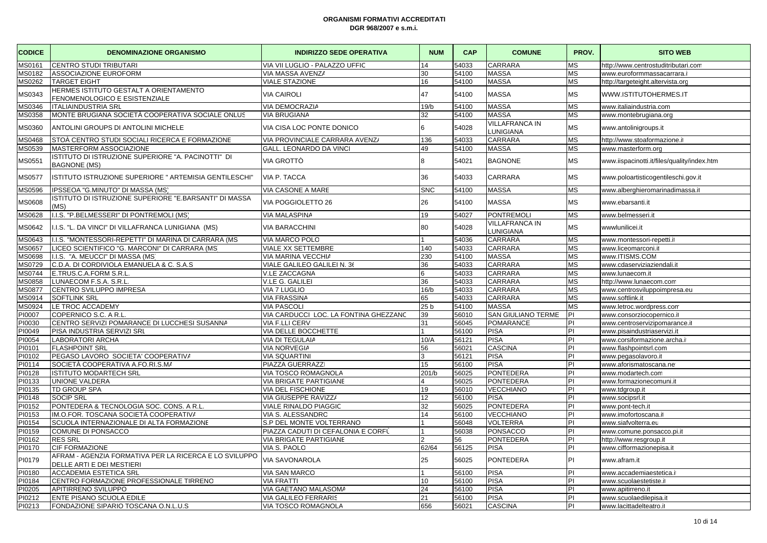| <b>CODICE</b> | <b>DENOMINAZIONE ORGANISMO</b>                                                      | <b>INDIRIZZO SEDE OPERATIVA</b>       | <b>NUM</b>     | <b>CAP</b> | <b>COMUNE</b>                      | PROV.     | <b>SITO WEB</b>                             |
|---------------|-------------------------------------------------------------------------------------|---------------------------------------|----------------|------------|------------------------------------|-----------|---------------------------------------------|
| AS0161        | <b>CENTRO STUDI TRIBUTARI</b>                                                       | VIA VII LUGLIO - PALAZZO UFFIC        | 14             | 54033      | <b>CARRARA</b>                     | <b>MS</b> | http://www.centrostuditributari.com         |
| MS0182        | <b>ASSOCIAZIONE EUROFORM</b>                                                        | VIA MASSA AVENZA                      | 30             | 54100      | <b>MASSA</b>                       | <b>MS</b> | www.euroformmassacarrara.i                  |
| MS0262        | <b>TARGET EIGHT</b>                                                                 | <b>VIALE STAZIONE</b>                 | 16             | 54100      | <b>MASSA</b>                       | <b>MS</b> | http://targeteight.altervista.org           |
| VIS0343       | HERMES ISTITUTO GESTALT A ORIENTAMENTO<br>FENOMENOLOGICO E ESISTENZIALE             | <b>VIA CAIROLI</b>                    | 47             | 54100      | <b>MASSA</b>                       | <b>MS</b> | WWW.ISTITUTOHERMES.IT                       |
| 1S0346        | <b>ITALIAINDUSTRIA SRL</b>                                                          | <b>VIA DEMOCRAZIA</b>                 | 19/b           | 54100      | <b>MASSA</b>                       | <b>MS</b> | www.italiaindustria.com                     |
| AS0358        | MONTE BRUGIANA SOCIETÀ COOPERATIVA SOCIALE ONLUS                                    | <b>VIA BRUGIANA</b>                   | 32             | 54100      | <b>MASSA</b>                       | <b>MS</b> | www.montebrugiana.org                       |
| VIS0360       | ANTOLINI GROUPS DI ANTOLINI MICHELE                                                 | VIA CISA LOC PONTE DONICO             | 6              | 54028      | <b>VILLAFRANCA IN</b><br>LUNIGIANA | <b>MS</b> | www.antolinigroups.it                       |
| MS0468        | STOÀ CENTRO STUDI SOCIALI RICERCA E FORMAZIONE                                      | VIA PROVINCIALE CARRARA AVENZA        | 136            | 54033      | <b>CARRARA</b>                     | <b>MS</b> | http://www.stoaformazione.it                |
| VIS0539       | MASTERFORM ASSOCIAZIONE                                                             | GALL. LEONARDO DA VINCI               | 49             | 54100      | <b>MASSA</b>                       | <b>MS</b> | www.masterform.org                          |
| MS0551        | ISTITUTO DI ISTRUZIONE SUPERIORE "A. PACINOTTI" DI<br><b>BAGNONE (MS)</b>           | VIA GROTTÒ                            | $\mathsf{R}$   | 54021      | <b>BAGNONE</b>                     | <b>MS</b> | www.iispacinotti.it/files/quality/index.htm |
| MS0577        | ISTITUTO ISTRUZIONE SUPERIORE " ARTEMISIA GENTILESCHI"                              | <b>VIA P. TACCA</b>                   | 36             | 54033      | <b>CARRARA</b>                     | <b>MS</b> | www.poloartisticogentileschi.gov.it         |
| AS0596        | IPSSEOA "G.MINUTO" DI MASSA (MS)                                                    | VIA CASONE A MARE                     | <b>SNC</b>     | 54100      | <b>MASSA</b>                       | <b>MS</b> | www.alberghieromarinadimassa.it             |
| MS0608        | ISTITUTO DI ISTRUZIONE SUPERIORE "E.BARSANTI" DI MASSA<br>(MS)                      | VIA POGGIOLETTO 26                    | 26             | 54100      | <b>MASSA</b>                       | <b>MS</b> | www.ebarsanti.it                            |
| AS0628        | I.I.S. "P.BELMESSERI" DI PONTREMOLI (MS)                                            | <b>VIA MALASPINA</b>                  | 19             | 54027      | PONTREMOLI                         | <b>MS</b> | www.belmesseri.it                           |
| MS0642        | I.I.S. "L. DA VINCI" DI VILLAFRANCA LUNIGIANA (MS)                                  | <b>VIA BARACCHINI</b>                 | 80             | 54028      | <b>VILLAFRANCA IN</b><br>LUNIGIANA | <b>MS</b> | wwwlunilicei.it                             |
| AS0643        | I.I.S. "MONTESSORI-REPETTI" DI MARINA DI CARRARA (MS                                | VIA MARCO POLO                        |                | 54036      | <b>CARRARA</b>                     | <b>MS</b> | www.montessori-repetti.it                   |
| AS0657        | LICEO SCIENTIFICO "G. MARCONI" DI CARRARA (MS)                                      | VIALE XX SETTEMBRE                    | 140            | 54033      | CARRARA                            | <b>MS</b> | www.liceomarconi.it                         |
| AS0698        | I.I.S. "A. MEUCCI" DI MASSA (MS)                                                    | VIA MARINA VECCHIA                    | 230            | 54100      | <b>MASSA</b>                       | <b>MS</b> | www.ITISMS.COM                              |
| AS0729        | C.D.A. DI CORDIVIOLA EMANUELA & C. S.A.S                                            | VIALE GALILEO GALILEI N. 36           | 36             | 54033      | <b>CARRARA</b>                     | <b>MS</b> | www.cdaserviziaziendali.it                  |
| MS0744        | E.TRUS.C.A.FORM S.R.L                                                               | <b>V.LE ZACCAGNA</b>                  | 6              | 54033      | <b>CARRARA</b>                     | <b>MS</b> | www.lunaecom.it                             |
| AS0858        | LUNAECOM F.S.A. S.R.L                                                               | V.LE G. GALILEI                       | 36             | 54033      | <b>CARRARA</b>                     | <b>MS</b> | http://www.lunaecom.com                     |
| AS0877        | CENTRO SVILUPPO IMPRESA                                                             | VIA 7 LUGLIO                          | 16/b           | 54033      | <b>CARRARA</b>                     | <b>MS</b> | www.centrosviluppoimpresa.eu                |
| MS0914        | <b>SOFTLINK SRL</b>                                                                 | <b>VIA FRASSINA</b>                   | 65             | 54033      | <b>CARRARA</b>                     | <b>MS</b> | www.softlink.it                             |
| AS0924        | LE TROC ACCADEMY                                                                    | VIA PASCOLI                           | 25 b           | 54100      | <b>MASSA</b>                       | <b>MS</b> | www.letroc.wordpress.com                    |
| 기0007         | COPERNICO S.C. A R.L                                                                | VIA CARDUCCI LOC. LA FONTINA GHEZZANC | 39             | 56010      | <b>SAN GIULIANO TERME</b>          | PI        | www.consorziocopernico.it                   |
| PI0030        | CENTRO SERVIZI POMARANCE DI LUCCHESI SUSANNA                                        | <b>VIA F.LLI CERV</b>                 | 31             | 56045      | POMARANCE                          | PI        | www.centroservizipomarance.it               |
| PI0049        | PISA INDUSTRIA SERVIZI SRL                                                          | VIA DELLE BOCCHETTE                   |                | 56100      | <b>PISA</b>                        | PI        | www.pisaindustriaservizi.it                 |
| PI0054        | LABORATORI ARCHA                                                                    | VIA DI TEGULAIA                       | 10/A           | 56121      | <b>PISA</b>                        | PI        | www.corsiformazione.archa.it                |
| PI0101        | <b>FLASHPOINT SRL</b>                                                               | VIA NORVEGIA                          | 56             | 56021      | <b>CASCINA</b>                     | PI        | www.flashpointsrl.com                       |
| PI0102        | PEGASO LAVORO SOCIETA' COOPERATIV/                                                  | <b>VIA SQUARTINI</b>                  | 3              | 56121      | <b>PISA</b>                        | PI        | www.pegasolavoro.it                         |
| PI0114        | SOCIETÀ COOPERATIVA A.FO.RI.S.MA                                                    | PIAZZA GUERRAZZI                      | 15             | 56100      | <b>PISA</b>                        | PI        | www.aforismatoscana.net                     |
| PI0128        | <b>ISTITUTO MODARTECH SRL</b>                                                       | VIA TOSCO ROMAGNOLA                   | 201/b          | 56025      | PONTEDERA                          | PI        | www.modartech.com                           |
| PI0133        | UNIONE VALDERA                                                                      | VIA BRIGATE PARTIGIANE                | $\overline{4}$ | 56025      | PONTEDERA                          | PI        | www.formazionecomuni.it                     |
| PI0135        | TD GROUP SPA                                                                        | VIA DEL FISCHIONE                     | 19             | 56010      | <b>VECCHIANO</b>                   | PI        | www.tdgroup.it                              |
| PI0148        | <b>SOCIP SRL</b>                                                                    | VIA GIUSEPPE RAVIZZ/                  | 12             | 56100      | <b>PISA</b>                        | PI        | www.socipsrl.it                             |
| PI0152        | PONTEDERA & TECNOLOGIA SOC. CONS. A R.L.                                            | <b>VIALE RINALDO PIAGGIC</b>          | 32             | 56025      | PONTEDERA                          | PI        | www.pont-tech.it                            |
| PI0153        | IM.O.FOR. TOSCANA SOCIETÀ COOPERATIVA                                               | VIA S. ALESSANDRO                     | 14             | 56100      | <b>VECCHIANO</b>                   | PI        | www.imofortoscana.it                        |
| PI0154        | SCUOLA INTERNAZIONALE DI ALTA FORMAZIONE                                            | S.P DEL MONTE VOLTERRANO              |                | 56048      | <b>VOLTERRA</b>                    | PI        | www.siafvolterra.eu                         |
| PI0159        | COMUNE DI PONSACCO                                                                  | PIAZZA CADUTI DI CEFALONIA E CORFÙ    |                | 56038      | PONSACCO                           | PI        | www.comune.ponsacco.pi.it                   |
| PI0162        | <b>RES SRL</b>                                                                      | VIA BRIGATE PARTIGIANE                |                | 56         | PONTEDERA                          | PI        | http://www.resgroup.it                      |
| PI0170        | <b>CIF FORMAZIONE</b>                                                               | VIA S. PAOLO                          | 62/64          | 56125      | <b>PISA</b>                        | PI        | www.cifformazionepisa.it                    |
| PI0179        | AFRAM - AGENZIA FORMATIVA PER LA RICERCA E LO SVILUPPO<br>DELLE ARTI E DEI MESTIERI | VIA SAVONAROLA                        | 25             | 56025      | PONTEDERA                          | PI        | www.afram.it                                |
| PI0180        | <b>ACCADEMIA ESTETICA SRL</b>                                                       | <b>VIA SAN MARCO</b>                  |                | 56100      | <b>PISA</b>                        | PI        | www.accademiaestetica.it                    |
| PI0184        | CENTRO FORMAZIONE PROFESSIONALE TIRRENO                                             | <b>VIA FRATTI</b>                     | 10             | 56100      | <b>PISA</b>                        | PI        | www.scuolaestetiste.it                      |
| 기0205         | APITIRRENO SVILUPPO                                                                 | VIA GAETANO MALASOMA                  | 24             | 56100      | <b>PISA</b>                        | PI        | www.apitirreno.it                           |
| PI0212        | <b>ENTE PISANO SCUOLA EDILE</b>                                                     | VIA GALILEO FERRARIS                  | 21             | 56100      | <b>PISA</b>                        | PI        | www.scuolaedilepisa.it                      |
| PI0213        | FONDAZIONE SIPARIO TOSCANA O.N.L.U.S                                                | VIA TOSCO ROMAGNOLA                   | 656            | 56021      | <b>CASCINA</b>                     | PI        | www.lacittadelteatro.it                     |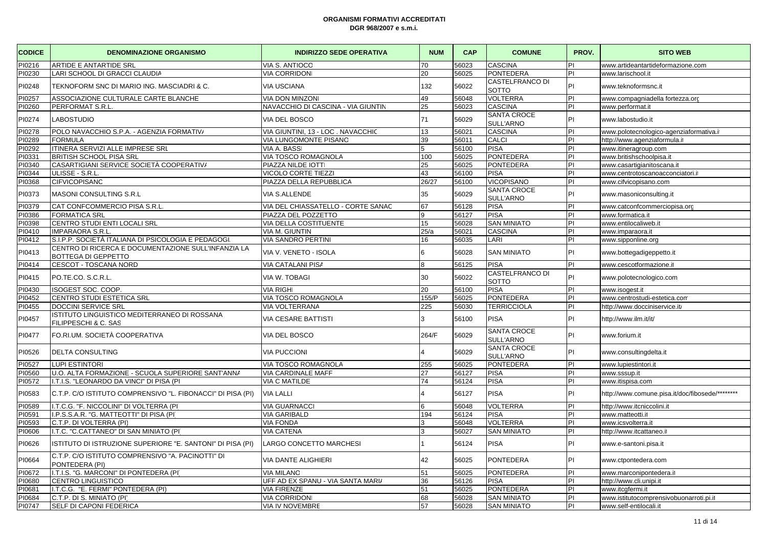| <b>CODICE</b> | <b>DENOMINAZIONE ORGANISMO</b>                                             | <b>INDIRIZZO SEDE OPERATIVA</b>    | <b>NUM</b> | CAP   | <b>COMUNE</b>                          | PROV.     | <b>SITO WEB</b>                                 |
|---------------|----------------------------------------------------------------------------|------------------------------------|------------|-------|----------------------------------------|-----------|-------------------------------------------------|
| PI0216        | <b>ARTIDE E ANTARTIDE SRL</b>                                              | VIA S. ANTIOCC                     | 70         | 56023 | <b>CASCINA</b>                         | PI        | www.artideantartideformazione.com               |
| PI0230        | LARI SCHOOL DI GRACCI CLAUDIA                                              | <b>VIA CORRIDONI</b>               | 20         | 56025 | <b>PONTEDERA</b>                       | <b>PI</b> | www.larischool.it                               |
| PI0248        | TEKNOFORM SNC DI MARIO ING. MASCIADRI & C.                                 | <b>VIA USCIANA</b>                 | 132        | 56022 | CASTELFRANCO DI<br>SOTTO               | PI        | www.teknoformsnc.it                             |
| PI0257        | ASSOCIAZIONE CULTURALE CARTE BLANCHE                                       | <b>VIA DON MINZONI</b>             | 49         | 56048 | <b>VOLTERRA</b>                        | PI        | www.compagniadella fortezza.orc                 |
| PI0260        | PERFORMAT S.R.L                                                            | NAVACCHIO DI CASCINA - VIA GIUNTIN | 25         | 56023 | CASCINA                                | PI        | www.performat.it                                |
| PI0274        | <b>LABOSTUDIO</b>                                                          | VIA DEL BOSCO                      | 71         | 56029 | SANTA CROCE<br>SULL'ARNO               | İΡΙ       | www.labostudio.it                               |
| PI0278        | POLO NAVACCHIO S.P.A. - AGENZIA FORMATIV/                                  | VIA GIUNTINI, 13 - LOC. NAVACCHIC  | 13         | 56021 | CASCINA                                | PI        | www.polotecnologico-agenziaformativa.i          |
| PI0289        | FORMULA                                                                    | VIA LUNGOMONTE PISANO              | 39         | 56011 | CALCI                                  | İΡΙ       | http://www.agenziaformula.it                    |
| PI0292        | ITINERA SERVIZI ALLE IMPRESE SRL                                           | VIA A. BASS                        | 5          | 56100 | <b>PISA</b>                            | İΡΙ       | www.itineragroup.com                            |
| 210331        | <b>BRITISH SCHOOL PISA SRL</b>                                             | VIA TOSCO ROMAGNOLA                | 100        | 56025 | PONTEDERA                              | İΡΙ       | www.britishschoolpisa.it                        |
| PI0340        | CASARTIGIANI SERVICE SOCIETÀ COOPERATIV/                                   | PIAZZA NILDE IOTTI                 | 25         | 56025 | <b>PONTEDERA</b>                       | İΡΙ       | www.casartigianitoscana.it                      |
| PI0344        | ULISSE - S.R.L                                                             | VICOLO CORTE TIEZZI                | 43         | 56100 | <b>PISA</b>                            | İΡΙ       | www.centrotoscanoacconciatori.i                 |
| 210368        | <b>CIFVICOPISANC</b>                                                       | PIAZZA DELLA REPUBBLICA            | 26/27      | 56100 | <b>VICOPISANO</b>                      | PI        | www.cifvicopisano.com                           |
| PI0373        | MASONI CONSULTING S.R.L                                                    | VIA S.ALLENDE                      | 35         | 56029 | <b>SANTA CROCE</b><br><b>SULL'ARNO</b> | PI        | www.masoniconsulting.it                         |
| PI0379        | CAT CONFCOMMERCIO PISA S.R.L                                               | VIA DEL CHIASSATELLO - CORTE SANAC | 67         | 56128 | PISA                                   | PI        | www.catconfcommerciopisa.org                    |
| PI0386        | <b>FORMATICA SRL</b>                                                       | PIAZZA DEL POZZETTO                | 9          | 56127 | <b>PISA</b>                            | İΡΙ       | www.formatica.it                                |
| PI0398        | CENTRO STUDI ENTI LOCALI SRL                                               | VIA DELLA COSTITUENTE              | 15         | 56028 | <b>SAN MINIATO</b>                     | İΡΙ       | www.entilocaliweb.it                            |
| 210410        | <b>IMPARAORA S.R.L.</b>                                                    | VIA M. GIUNTINI                    | 25/a       | 56021 | <b>CASCINA</b>                         | PI        | www.imparaora.it                                |
| PI0412        | S.I.P.P. SOCIETÀ ITALIANA DI PSICOLOGIA E PEDAGOGI                         | <b>VIA SANDRO PERTINI</b>          | 16         | 56035 | LARI                                   | İΡΙ       | www.sipponline.org                              |
| PI0413        | CENTRO DI RICERCA E DOCUMENTAZIONE SULL'INFANZIA LA<br>BOTTEGA DI GEPPETTO | VIA V. VENETO - ISOLA              | 6          | 56028 | <b>SAN MINIATO</b>                     | PI        | www.bottegadigeppetto.it                        |
| PI0414        | <b>CESCOT - TOSCANA NORD</b>                                               | VIA CATALANI PISA                  | 8          | 56125 | <b>PISA</b>                            | İΡΙ       | www.cescotformazione.it                         |
| PI0415        | PO.TE.CO. S.C.R.L.                                                         | VIA W. TOBAGI                      | 30         | 56022 | CASTELFRANCO DI<br>SOTTO               | PI        | www.polotecnologico.com                         |
| PI0430        | ISOGEST SOC. COOP.                                                         | <b>VIA RIGHI</b>                   | 20         | 56100 | <b>PISA</b>                            | İΡΙ       | www.isogest.it                                  |
| PI0452        | CENTRO STUDI ESTETICA SRL                                                  | VIA TOSCO ROMAGNOLA                | 155/P      | 56025 | <b>PONTEDERA</b>                       | İΡΙ       | www.centrostudi-estetica.com                    |
| 기0455         | DOCCINI SERVICE SRL                                                        | VIA VOLTERRANA                     | 225        | 56030 | <b>TERRICCIOLA</b>                     | IΡI       | http://www.docciniservice.it/                   |
| PI0457        | ISTITUTO LINGUISTICO MEDITERRANEO DI ROSSANA<br>FILIPPESCHI & C. SAS       | <b>VIA CESARE BATTISTI</b>         | 3          | 56100 | <b>PISA</b>                            | PI        | http://www.ilm.it/it/                           |
| PI0477        | FO.RI.UM. SOCIETÀ COOPERATIVA                                              | VIA DEL BOSCO                      | 264/F      | 56029 | SANTA CROCE<br>SULL'ARNO               | <b>PI</b> | www.forium.it                                   |
| PI0526        | <b>DELTA CONSULTING</b>                                                    | <b>VIA PUCCIONI</b>                |            | 56029 | <b>SANTA CROCE</b><br>SULL'ARNO        | PI        | www.consultingdelta.it                          |
| PI0527        | <b>LUPI ESTINTORI</b>                                                      | <b>VIA TOSCO ROMAGNOLA</b>         | 255        | 56025 | PONTEDERA                              | İΡΙ       | www.lupiestintori.it                            |
| PI0560        | U.O. ALTA FORMAZIONE - SCUOLA SUPERIORE SANT'ANNA                          | <b>VIA CARDINALE MAFF</b>          | 27         | 56127 | PISA                                   | İΡΙ       | www.sssup.it                                    |
| PI0572        | I.T.I.S. "LEONARDO DA VINCI" DI PISA (PI                                   | <b>VIA C MATILDE</b>               | 74         | 56124 | PISA                                   | PI        | www.itispisa.com                                |
| PI0583        | C.T.P. C/O ISTITUTO COMPRENSIVO "L. FIBONACCI" DI PISA (PI)                | <b>VIA LALLI</b>                   |            | 56127 | <b>PISA</b>                            | PI        | http://www.comune.pisa.it/doc/fibosede/******** |
| PI0589        | I.T.C.G. "F. NICCOLINI" DI VOLTERRA (PI                                    | <b>VIA GUARNACCI</b>               | 6          | 56048 | VOLTERRA                               | <b>PI</b> | http://www.itcniccolini.it                      |
| PI0591        | I.P.S.S.A.R. "G. MATTEOTTI" DI PISA (PI                                    | <b>VIA GARIBALD</b>                | 194        | 56124 | <b>PISA</b>                            | İΡΙ       | www.matteotti.it                                |
| PI0593        | C.T.P. DI VOLTERRA (PI)                                                    | <b>VIA FONDA</b>                   | 3          | 56048 | VOLTERRA                               | İΡΙ       | www.icsvolterra.it                              |
| PI0606        | I.T.C. "C.CATTANEO" DI SAN MINIATO (PI)                                    | <b>VIA CATENA</b>                  |            | 56027 | <b>SAN MINIATO</b>                     | PI        | http://www.itcattaneo.it                        |
| PI0626        | ISTITUTO DI ISTRUZIONE SUPERIORE "E. SANTONI" DI PISA (PI)                 | <b>LARGO CONCETTO MARCHESI</b>     |            | 56124 | <b>PISA</b>                            | PI        | www.e-santoni.pisa.it                           |
| PI0664        | C.T.P. C/O ISTITUTO COMPRENSIVO "A. PACINOTTI" DI<br>PONTEDERA (PI)        | <b>VIA DANTE ALIGHIERI</b>         | 42         | 56025 | <b>PONTEDERA</b>                       | <b>PI</b> | www.ctpontedera.com                             |
| PI0672        | I.T.I.S. "G. MARCONI" DI PONTEDERA (PI)                                    | <b>VIA MILANC</b>                  | 51         | 56025 | <b>PONTEDERA</b>                       | PI        | www.marconipontedera.it                         |
| 210680        | <b>CENTRO LINGUISTICO</b>                                                  | UFF AD EX SPANU - VIA SANTA MARI/  | 36         | 56126 | PISA                                   | PI        | http://www.cli.unipi.it                         |
| PI0681        | I.T.C.G. "E. FERMI" PONTEDERA (PI)                                         | <b>VIA FIRENZE</b>                 | 51         | 56025 | PONTEDERA                              | PI        | www.itcgfermi.it                                |
| PI0684        | C.T.P. DI S. MINIATO (PI)                                                  | <b>VIA CORRIDONI</b>               | 68         | 56028 | <b>SAN MINIATO</b>                     | PI        | www.istitutocomprensivobuonarroti.pi.it         |
| PI0747        | <b>SELF DI CAPONI FEDERICA</b>                                             | VIA IV NOVEMBRE                    | 57         | 56028 | <b>SAN MINIATO</b>                     | PI        | www.self-entilocali.it                          |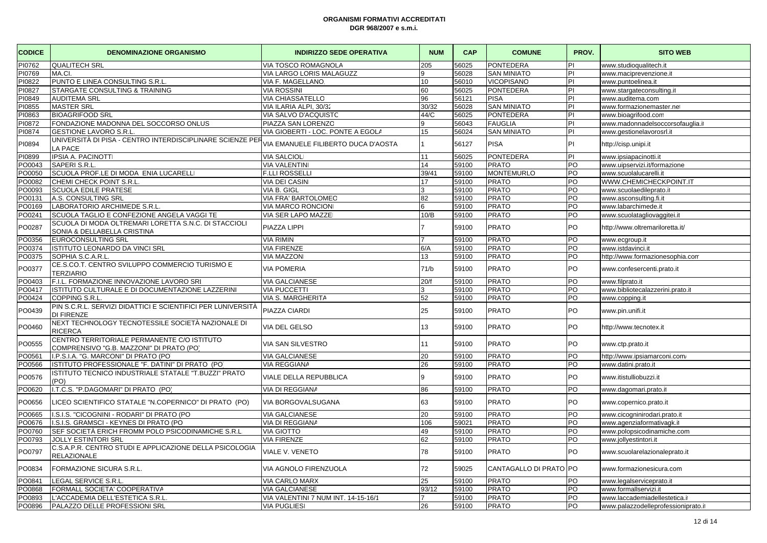| <b>CODICE</b> | <b>DENOMINAZIONE ORGANISMO</b>                                                         | <b>INDIRIZZO SEDE OPERATIVA</b>     | <b>NUM</b> | <b>CAP</b> | <b>COMUNE</b>          | PROV.          | <b>SITO WEB</b>                     |
|---------------|----------------------------------------------------------------------------------------|-------------------------------------|------------|------------|------------------------|----------------|-------------------------------------|
| PI0762        | <b>QUALITECH SRL</b>                                                                   | VIA TOSCO ROMAGNOLA                 | 205        | 56025      | PONTEDERA              | PI             | www.studioqualitech.it              |
| PI0769        | MA.CI.                                                                                 | VIA LARGO LORIS MALAGUZZ            | 9          | 56028      | <b>SAN MINIATO</b>     | PI             | www.maciprevenzione.it              |
| PI0822        | PUNTO E LINEA CONSULTING S.R.L                                                         | VIA F. MAGELLANO.                   | 10         | 56010      | <b>VICOPISANO</b>      | PI             | www.puntoelinea.it                  |
| PI0827        | STARGATE CONSULTING & TRAINING                                                         | <b>VIA ROSSINI</b>                  | 60         | 56025      | <b>PONTEDERA</b>       | PI             | www.stargateconsulting.it           |
| PI0849        | <b>AUDITEMA SRL</b>                                                                    | <b>VIA CHIASSATELLO</b>             | 96         | 56121      | <b>PISA</b>            | $\overline{P}$ | www.auditema.com                    |
| PI0855        | <b>MASTER SRL</b>                                                                      | VIA ILARIA ALPI, 30/32              | 30/32      | 56028      | <b>SAN MINIATO</b>     | PI             | www.formazionemaster.net            |
| PI0863        | <b>BIOAGRIFOOD SRL</b>                                                                 | VIA SALVO D'ACQUISTC                | 44/C       | 56025      | <b>PONTEDERA</b>       | PI             | www.bioagrifood.com                 |
| PI0872        | FONDAZIONE MADONNA DEL SOCCORSO ONLUS                                                  | PIAZZA SAN LORENZO                  | 9          | 56043      | <b>FAUGLIA</b>         | PI             | www.madonnadelsoccorsofauglia.it    |
| PI0874        | <b>GESTIONE LAVORO S.R.L</b>                                                           | VIA GIOBERTI - LOC. PONTE A EGOLA   | 15         | 56024      | <b>SAN MINIATO</b>     | İΡΙ            | www.gestionelavorosrl.it            |
| PI0894        | UNIVERSITÀ DI PISA - CENTRO INTERDISCIPLINARE SCIENZE PER<br>LA PACE                   | VIA EMANUELE FILIBERTO DUCA D'AOSTA |            | 56127      | <b>PISA</b>            | PI             | http://cisp.unipi.it                |
| PI0899        | <b>IPSIA A. PACINOTT</b>                                                               | <b>VIA SALCIOL</b>                  | 11         | 56025      | <b>PONTEDERA</b>       | PI             | www.ipsiapacinotti.it               |
| PO0043        | SAPERI S.R.L                                                                           | <b>VIA VALENTIN</b>                 | 14         | 59100      | <b>PRATO</b>           | PO             | www.uipservizi.it/formazione        |
| PO0050        | SCUOLA PROF.LE DI MODA ENIA LUCARELL                                                   | <b>F.LLI ROSSELLI</b>               | 39/41      | 59100      | <b>MONTEMURLO</b>      | PO             | www.scuolalucarelli.it              |
| PO0082        | CHEMI CHECK POINT S.R.L                                                                | <b>VIA DEI CASIN</b>                | 17         | 59100      | <b>PRATO</b>           | PO             | WWW.CHEMICHECKPOINT.IT              |
| PO0093        | <b>SCUOLA EDILE PRATESE</b>                                                            | VIA B. GIGL                         | 3          | 59100      | <b>PRATO</b>           | PO             | www.scuolaedileprato.it             |
| PO0131        | A.S. CONSULTING SRL                                                                    | VIA FRA' BARTOLOMEO                 | 82         | 59100      | <b>PRATO</b>           | PO             | www.asconsulting.fi.it              |
| PO0169        | LABORATORIO ARCHIMEDE S.R.L                                                            | VIA MARCO RONCIONI                  | 6          | 59100      | <b>PRATO</b>           | PO             | www.labarchimede.it                 |
| PO0241        | SCUOLA TAGLIO E CONFEZIONE ANGELA VAGGI TE                                             | VIA SER LAPO MAZZE                  | 10/B       | 59100      | <b>PRATO</b>           | PO             | www.scuolatagliovaggitei.it         |
| PO0287        | SCUOLA DI MODA OLTREMARI LORETTA S.N.C. DI STACCIOLI<br>SONIA & DELLABELLA CRISTINA    | PIAZZA LIPPI                        |            | 59100      | <b>PRATO</b>           | PO             | http://www.oltremariloretta.it/     |
| PO0356        | <b>EUROCONSULTING SRL</b>                                                              | <b>VIA RIMIN</b>                    |            | 59100      | <b>PRATO</b>           | PO             | www.ecgroup.it                      |
| PO0374        | ISTITUTO LEONARDO DA VINCI SRL                                                         | <b>VIA FIRENZE</b>                  | 6/A        | 59100      | <b>PRATO</b>           | PO             | www.istdavinci.it                   |
| PO0375        | SOPHIA S.C.A.R.L.                                                                      | <b>VIA MAZZON</b>                   | 13         | 59100      | <b>PRATO</b>           | PO             | http://www.formazionesophia.com     |
| PO0377        | CE.S.CO.T. CENTRO SVILUPPO COMMERCIO TURISMO E<br><b>TERZIARIO</b>                     | <b>VIA POMERIA</b>                  | 71/b       | 59100      | <b>PRATO</b>           | PO             | www.confesercenti.prato.it          |
| PO0403        | F.I.L. FORMAZIONE INNOVAZIONE LAVORO SRI                                               | <b>VIA GALCIANESE</b>               | 20/f       | 59100      | <b>PRATO</b>           | PO             | www.filprato.it                     |
| PO0417        | ISTITUTO CULTURALE E DI DOCUMENTAZIONE LAZZERINI                                       | <b>VIA PUCCETTI</b>                 | 3          | 59100      | <b>PRATO</b>           | PO             | www.bibliotecalazzerini.prato.it    |
| PO0424        | COPPING S.R.L.                                                                         | VIA S. MARGHERITA                   | 52         | 59100      | <b>PRATO</b>           | PO             | www.copping.it                      |
| PO0439        | PIN S.C.R.L. SERVIZI DIDATTICI E SCIENTIFICI PER LUNIVERSITÀ<br><b>DI FIRENZE</b>      | PIAZZA CIARDI                       | 25         | 59100      | <b>PRATO</b>           | PO             | www.pin.unifi.it                    |
| PO0460        | NEXT TECHNOLOGY TECNOTESSILE SOCIETÀ NAZIONALE DI<br><b>RICERCA</b>                    | VIA DEL GELSO                       | 13         | 59100      | <b>PRATO</b>           | PO             | http://www.tecnotex.it              |
| PO0555        | CENTRO TERRITORIALE PERMANENTE C/O ISTITUTO<br>COMPRENSIVO "G.B. MAZZONI" DI PRATO (PO | <b>VIA SAN SILVESTRO</b>            | 11         | 59100      | <b>PRATO</b>           | PO             | www.ctp.prato.it                    |
| PO0561        | I.P.S.I.A. "G. MARCONI" DI PRATO (PO                                                   | <b>VIA GALCIANESE</b>               | 20         | 59100      | <b>PRATO</b>           | PO             | http://www.ipsiamarconi.com/        |
| PO0566        | ISTITUTO PROFESSIONALE "F. DATINI" DI PRATO (PO                                        | <b>VIA REGGIANA</b>                 | 26         | 59100      | <b>PRATO</b>           | PO             | www.datini.prato.it                 |
| PO0576        | ISTITUTO TECNICO INDUSTRIALE STATALE "T.BUZZI" PRATO<br>(PO)                           | VIALE DELLA REPUBBLICA              | 9          | 59100      | <b>PRATO</b>           | PO             | www.itistulliobuzzi.it              |
| PO0620        | I.T.C.S. "P.DAGOMARI" DI PRATO (PO)                                                    | VIA DI REGGIANA                     | 86         | 59100      | <b>PRATO</b>           | PO             | www.dagomari.prato.it               |
| PO0656        | LICEO SCIENTIFICO STATALE "N.COPERNICO" DI PRATO (PO)                                  | VIA BORGOVALSUGANA                  | 63         | 59100      | <b>PRATO</b>           | PO             | www.copernico.prato.it              |
| PO0665        | I.S.I.S. "CICOGNINI - RODARI" DI PRATO (PO                                             | <b>VIA GALCIANESE</b>               | 20         | 59100      | <b>PRATO</b>           | PO             | www.cicogninirodari.prato.it        |
| PO0676        | I.S.I.S. GRAMSCI - KEYNES DI PRATO (PO                                                 | VIA DI REGGIANA                     | 106        | 59021      | <b>PRATO</b>           | PO             | www.agenziaformativagk.it           |
| PO0760        | SEF SOCIETÀ ERICH FROMM POLO PSICODINAMICHE S.R.L                                      | <b>VIA GIOTTO</b>                   | 49         | 59100      | <b>PRATO</b>           | PO             | www.polopsicodinamiche.com          |
| PO0793        | <b>JOLLY ESTINTORI SRL</b>                                                             | <b>VIA FIRENZE</b>                  | 62         | 59100      | <b>PRATO</b>           | <b>PO</b>      | www.jollyestintori.it               |
| PO0797        | C.S.A.P.R. CENTRO STUDI E APPLICAZIONE DELLA PSICOLOGIA<br><b>RELAZIONALE</b>          | VIALE V. VENETO                     | 78         | 59100      | <b>PRATO</b>           | PO             | www.scuolarelazionaleprato.it       |
| PO0834        | FORMAZIONE SICURA S.R.L.                                                               | VIA AGNOLO FIRENZUOLA               | 72         | 59025      | CANTAGALLO DI PRATO PO |                | www.formazionesicura.com            |
| PO0841        | LEGAL SERVICE S.R.L                                                                    | <b>VIA CARLO MARX</b>               | 25         | 59100      | <b>PRATO</b>           | PO             | www.legalserviceprato.it            |
| PO0868        | FORMALL SOCIETA' COOPERATIVA                                                           | <b>VIA GALCIANESE</b>               | 93/12      | 59100      | <b>PRATO</b>           | PO             | www.formallservizi.it               |
| PO0893        | L'ACCADEMIA DELL'ESTETICA S.R.L                                                        | VIA VALENTINI 7 NUM INT. 14-15-16/1 |            | 59100      | <b>PRATO</b>           | PO             | www.laccademiadellestetica.it       |
| PO0896        | PALAZZO DELLE PROFESSIONI SRL                                                          | <b>VIA PUGLIESI</b>                 | 26         | 59100      | <b>PRATO</b>           | PO             | www.palazzodelleprofessioniprato.it |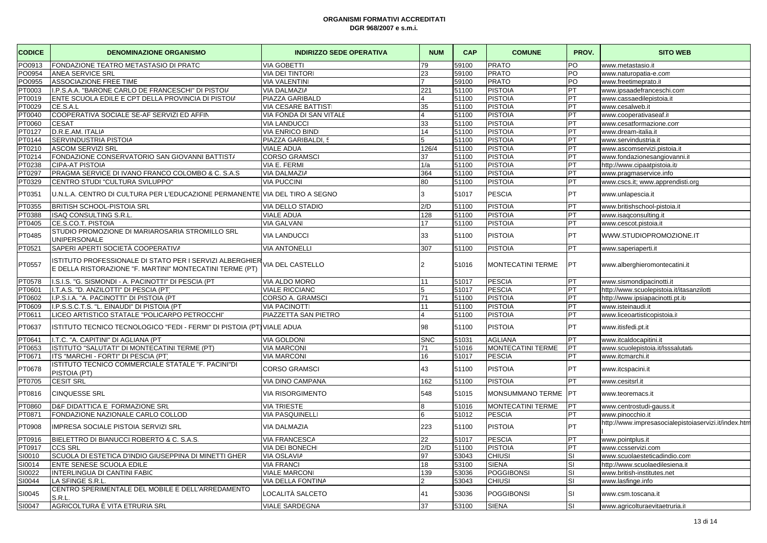| <b>CODICE</b> | <b>DENOMINAZIONE ORGANISMO</b>                                                                                       | <b>INDIRIZZO SEDE OPERATIVA</b>             | <b>NUM</b>     | <b>CAP</b> | <b>COMUNE</b>            | PROV.     | <b>SITO WEB</b>                                      |
|---------------|----------------------------------------------------------------------------------------------------------------------|---------------------------------------------|----------------|------------|--------------------------|-----------|------------------------------------------------------|
| PO0913        | FONDAZIONE TEATRO METASTASIO DI PRATC                                                                                | <b>VIA GOBETTI</b>                          | 79             | 59100      | <b>PRATO</b>             | PO        | www.metastasio.it                                    |
| PO0954        | <b>ANEA SERVICE SRL</b>                                                                                              | <b>VIA DEI TINTORI</b>                      | 23             | 59100      | <b>PRATO</b>             | PO        | www.naturopatia-e.com                                |
| PO0955        | <b>ASSOCIAZIONE FREE TIME</b>                                                                                        | <b>VIA VALENTIN</b>                         | $\overline{7}$ | 59100      | <b>PRATO</b>             | PO        | www.freetimeprato.it                                 |
| PT0003        | I.P.S.A.A. "BARONE CARLO DE FRANCESCHI" DI PISTOI/                                                                   | VIA DALMAZIA                                | 221            | 51100      | <b>PISTOIA</b>           | PT        | www.ipsaadefranceschi.com                            |
| PT0019        | ENTE SCUOLA EDILE E CPT DELLA PROVINCIA DI PISTOI/                                                                   | PIAZZA GARIBALD                             | $\overline{4}$ | 51100      | <b>PISTOIA</b>           | PT        | www.cassaedilepistoia.it                             |
| PT0029        | CE.S.A.L                                                                                                             | <b>VIA CESARE BATTISTI</b>                  | 35             | 51100      | <b>PISTOIA</b>           | PT        | www.cesalweb.it                                      |
| PT0040        | COOPERATIVA SOCIALE SE-AF SERVIZI ED AFFIN                                                                           | VIA FONDA DI SAN VITALE                     | $\overline{4}$ | 51100      | <b>PISTOIA</b>           | PT        | www.cooperativaseaf.i                                |
| PT0060        | <b>CESAT</b>                                                                                                         | <b>VIA LANDUCCI</b>                         | 33             | 51100      | <b>PISTOIA</b>           | PT        | www.cesatformazione.com                              |
| PT0127        | D.R.E.AM. ITALIA                                                                                                     | <b>VIA ENRICO BINDI</b>                     | 14             | 51100      | <b>PISTOIA</b>           | PT        | www.dream-italia.it                                  |
| PT0144        | SERVINDUSTRIA PISTOIA                                                                                                | PIAZZA GARIBALDI, 5                         | 5              | 51100      | <b>PISTOIA</b>           | PT        | www.servindustria.it                                 |
| PT0210        | <b>ASCOM SERVIZI SRL</b>                                                                                             | <b>VIALE ADUA</b>                           | 126/4          | 51100      | <b>PISTOIA</b>           | PT        | www.ascomservizi.pistoia.it                          |
| PT0214        | FONDAZIONE CONSERVATORIO SAN GIOVANNI BATTIST/                                                                       | <b>CORSO GRAMSCI</b>                        | 37             | 51100      | <b>PISTOIA</b>           | PT        | www.fondazionesangiovanni.it                         |
| PT0238        | <b>CIPA-AT PISTOIA</b>                                                                                               | VIA E. FERMI                                | 1/a            | 51100      | <b>PISTOIA</b>           | PT        | http://www.cipaatpistoia.it/                         |
| PT0297        | PRAGMA SERVICE DI IVANO FRANCO COLOMBO & C. S.A.S                                                                    | VIA DALMAZIA                                | 364            | 51100      | <b>PISTOIA</b>           | PT        | www.pragmaservice.info                               |
| PT0329        | CENTRO STUDI "CULTURA SVILUPPO"                                                                                      | <b>VIA PUCCINI</b>                          | 80             | 51100      | <b>PISTOIA</b>           | PT        | www.cscs.it; www.apprendisti.org                     |
| PT0351        | U.N.L.A. CENTRO DI CULTURA PER L'EDUCAZIONE PERMANENTE VIA DEL TIRO A SEGNO                                          |                                             | $\overline{3}$ | 51017      | <b>PESCIA</b>            | PT        | www.unlapescia.it                                    |
| PT0355        | BRITISH SCHOOL-PISTOIA SRL                                                                                           | VIA DELLO STADIO                            | 2/D            | 51100      | <b>PISTOIA</b>           | PT        | www.britishschool-pistoia.it                         |
| PT0388        | ISAQ CONSULTING S.R.L.                                                                                               | <b>VIALE ADUA</b>                           | 128            | 51100      | <b>PISTOIA</b>           | PT        | www.isaqconsulting.it                                |
| PT0405        | CE.S.CO.T. PISTOIA                                                                                                   | <b>VIA GALVAN</b>                           | 17             | 51100      | <b>PISTOIA</b>           | PT        | www.cescot.pistoia.it                                |
|               | STUDIO PROMOZIONE DI MARIAROSARIA STROMILLO SRL                                                                      |                                             |                |            |                          |           |                                                      |
| PT0485        | <b>UNIPERSONALE</b>                                                                                                  | <b>VIA LANDUCCI</b>                         | 33             | 51100      | <b>PISTOIA</b>           | PT        | WWW.STUDIOPROMOZIONE.IT                              |
| PT0521        | SAPERI APERTI SOCIETÀ COOPERATIVA                                                                                    | <b>VIA ANTONELLI</b>                        | 307            | 51100      | <b>PISTOIA</b>           | <b>PT</b> | www.saperiaperti.it                                  |
| PT0557        | ISTITUTO PROFESSIONALE DI STATO PER I SERVIZI ALBERGHIER<br>E DELLA RISTORAZIONE "F. MARTINI" MONTECATINI TERME (PT) | VIA DEL CASTELLO                            | $\overline{2}$ | 51016      | MONTECATINI TERME        | PT.       | www.alberghieromontecatini.it                        |
| PT0578        | I.S.I.S. "G. SISMONDI - A. PACINOTTI" DI PESCIA (PT                                                                  | VIA ALDO MORO                               | 11             | 51017      | <b>PESCIA</b>            | PT        | www.sismondipacinotti.it                             |
| PT0601        | I.T.A.S. "D. ANZILOTTI" DI PESCIA (PT)                                                                               | <b>VIALE RICCIANO</b>                       | 5              | 51017      | <b>PESCIA</b>            | PT        | http://www.scuolepistoia.it/itasanzilotti            |
| PT0602        | I.P.S.I.A. "A. PACINOTTI" DI PISTOIA (PT                                                                             | CORSO A. GRAMSCI                            | 71             | 51100      | <b>PISTOIA</b>           | PT        | http://www.ipsiapacinotti.pt.it/                     |
| PT0609        | I.P.S.S.C.T.S. "L. EINAUDI" DI PISTOIA (PT                                                                           | <b>VIA PACINOTTI</b>                        | 11             | 51100      | <b>PISTOIA</b>           | PT        | www.isteinaudi.it                                    |
| PT0611        | LICEO ARTISTICO STATALE "POLICARPO PETROCCHI"                                                                        | PIAZZETTA SAN PIETRO                        | $\overline{A}$ | 51100      | <b>PISTOIA</b>           | PT        | www.liceoartisticopistoia.it                         |
| PT0637        | ISTITUTO TECNICO TECNOLOGICO "FEDI - FERMI" DI PISTOIA (PT) VIALE ADUA                                               |                                             | 98             | 51100      | <b>PISTOIA</b>           | PT        | www.itisfedi.pt.it                                   |
| PT0641        | I.T.C. "A. CAPITINI" DI AGLIANA (PT                                                                                  | <b>VIA GOLDONI</b>                          | <b>SNC</b>     | 51031      | <b>AGLIANA</b>           | PT        | www.itcaldocapitini.it                               |
| PT0653        | ISTITUTO "SALUTATI" DI MONTECATINI TERME (PT)                                                                        | <b>VIA MARCONI</b>                          | 71             | 51016      | <b>MONTECATINI TERME</b> | PT        | www.scuolepistoia.it/Isssalutati/                    |
| PT0671        | ITS "MARCHI - FORTI" DI PESCIA (PT)                                                                                  | <b>VIA MARCONI</b>                          | 16             | 51017      | <b>PESCIA</b>            | PT        | www.itcmarchi.it                                     |
| PT0678        | ISTITUTO TECNICO COMMERCIALE STATALE "F. PACINI"DI                                                                   | <b>CORSO GRAMSCI</b>                        | 43             | 51100      | <b>PISTOIA</b>           | PT        | www.itcspacini.it                                    |
| PT0705        | PISTOIA (PT)                                                                                                         |                                             | 162            | 51100      | <b>PISTOIA</b>           | PT        |                                                      |
| PT0816        | <b>CESIT SRL</b><br><b>CINQUESSE SRL</b>                                                                             | VIA DINO CAMPANA<br><b>VIA RISORGIMENTO</b> | 548            | 51015      | MONSUMMANO TERME         | PT        | www.cesitsrl.it<br>www.teoremacs.it                  |
| PT0860        | D&F DIDATTICA E FORMAZIONE SRL                                                                                       | <b>VIA TRIESTE</b>                          | 8              | 51016      | <b>MONTECATINI TERME</b> | PT        | www.centrostudi-gauss.it                             |
| PT0871        | FONDAZIONE NAZIONALE CARLO COLLOD                                                                                    | <b>VIA PASQUINELLI</b>                      | 6              | 51012      | <b>PESCIA</b>            | PT        | www.pinocchio.it                                     |
|               |                                                                                                                      |                                             |                |            |                          |           | http://www.impresasocialepistoiaservizi.it/index.htm |
| PT0908        | IMPRESA SOCIALE PISTOIA SERVIZI SRL                                                                                  | VIA DALMAZIA                                | 223            | 51100      | <b>PISTOIA</b>           | PT        |                                                      |
| PT0916        | BIELETTRO DI BIANUCCI ROBERTO & C. S.A.S.                                                                            | <b>VIA FRANCESCA</b>                        | 22             | 51017      | <b>PESCIA</b>            | PT        | www.pointplus.it                                     |
| PT0917        | <b>CCS SRL</b>                                                                                                       | VIA DEI BONECHI                             | 2/D            | 51100      | <b>PISTOIA</b>           | PT        | www.ccsservizi.com                                   |
| SI0010        | SCUOLA DI ESTETICA D'INDIO GIUSEPPINA DI MINETTI GHER                                                                | VIA OSLAVIA                                 | 97             | 53043      | <b>CHIUSI</b>            | SI        | www.scuolaesteticadindio.com                         |
| SI0014        | ENTE SENESE SCUOLA EDILE                                                                                             | <b>VIA FRANCI</b>                           | 18             | 53100      | <b>SIENA</b>             | <b>SI</b> | http://www.scuolaedilesiena.it                       |
| SI0022        | INTERLINGUA DI CANTINI FABIC                                                                                         | <b>VIALE MARCONI</b>                        | 139            | 53036      | <b>POGGIBONSI</b>        | <b>SI</b> | www.british-institutes.net                           |
| SI0044        | LA SFINGE S.R.L                                                                                                      | VIA DELLA FONTINA                           | $\mathcal{P}$  | 53043      | <b>CHIUSI</b>            | SI        | www.lasfinge.info                                    |
| SI0045        | CENTRO SPERIMENTALE DEL MOBILE E DELL'ARREDAMENTO<br>S.R.L                                                           | LOCALITÀ SALCETO                            | 41             | 53036      | <b>POGGIBONSI</b>        | SI        | www.csm.toscana.it                                   |
| SI0047        | AGRICOLTURA È VITA ETRURIA SRL                                                                                       | <b>VIALE SARDEGNA</b>                       | 37             | 53100      | <b>SIENA</b>             | SI        | www.agricolturaevitaetruria.it                       |